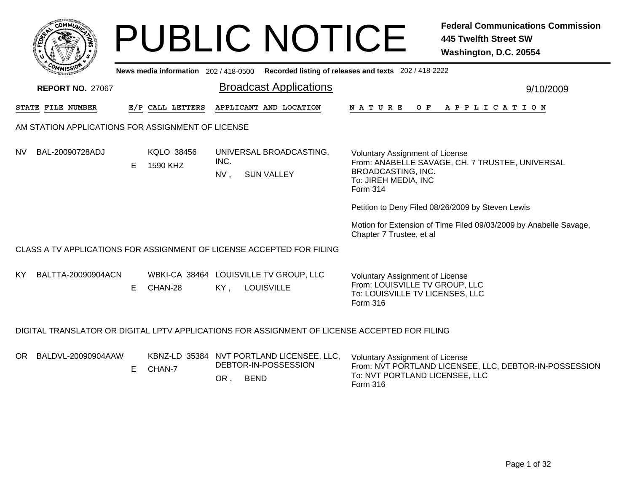|     |                                                                                                |    |                               | <b>PUBLIC NOTICE</b>                                                                    |                                                                                                                         | <b>Federal Communications Commission</b><br><b>445 Twelfth Street SW</b><br>Washington, D.C. 20554 |  |  |  |  |  |  |
|-----|------------------------------------------------------------------------------------------------|----|-------------------------------|-----------------------------------------------------------------------------------------|-------------------------------------------------------------------------------------------------------------------------|----------------------------------------------------------------------------------------------------|--|--|--|--|--|--|
|     | News media information 202 / 418-0500<br>Recorded listing of releases and texts 202 / 418-2222 |    |                               |                                                                                         |                                                                                                                         |                                                                                                    |  |  |  |  |  |  |
|     | <b>REPORT NO. 27067</b>                                                                        |    |                               | <b>Broadcast Applications</b>                                                           |                                                                                                                         | 9/10/2009                                                                                          |  |  |  |  |  |  |
|     | STATE FILE NUMBER                                                                              |    | E/P CALL LETTERS              | APPLICANT AND LOCATION                                                                  | NATURE                                                                                                                  | OF APPLICATION                                                                                     |  |  |  |  |  |  |
|     | AM STATION APPLICATIONS FOR ASSIGNMENT OF LICENSE                                              |    |                               |                                                                                         |                                                                                                                         |                                                                                                    |  |  |  |  |  |  |
| NV. | BAL-20090728ADJ                                                                                | F. | <b>KQLO 38456</b><br>1590 KHZ | UNIVERSAL BROADCASTING,<br>INC.<br>$NV$ ,<br><b>SUN VALLEY</b>                          | <b>Voluntary Assignment of License</b><br>BROADCASTING, INC.<br>To: JIREH MEDIA, INC<br>Form 314                        | From: ANABELLE SAVAGE, CH. 7 TRUSTEE, UNIVERSAL                                                    |  |  |  |  |  |  |
|     |                                                                                                |    |                               |                                                                                         |                                                                                                                         | Petition to Deny Filed 08/26/2009 by Steven Lewis                                                  |  |  |  |  |  |  |
|     |                                                                                                |    |                               |                                                                                         | Chapter 7 Trustee, et al                                                                                                | Motion for Extension of Time Filed 09/03/2009 by Anabelle Savage,                                  |  |  |  |  |  |  |
|     |                                                                                                |    |                               | CLASS A TV APPLICATIONS FOR ASSIGNMENT OF LICENSE ACCEPTED FOR FILING                   |                                                                                                                         |                                                                                                    |  |  |  |  |  |  |
| KY. | BALTTA-20090904ACN                                                                             | E. | CHAN-28                       | WBKI-CA 38464 LOUISVILLE TV GROUP, LLC<br><b>LOUISVILLE</b><br>KY,                      | <b>Voluntary Assignment of License</b><br>From: LOUISVILLE TV GROUP, LLC<br>To: LOUISVILLE TV LICENSES, LLC<br>Form 316 |                                                                                                    |  |  |  |  |  |  |
|     | DIGITAL TRANSLATOR OR DIGITAL LPTV APPLICATIONS FOR ASSIGNMENT OF LICENSE ACCEPTED FOR FILING  |    |                               |                                                                                         |                                                                                                                         |                                                                                                    |  |  |  |  |  |  |
| OR. | BALDVL-20090904AAW                                                                             | E  | CHAN-7                        | KBNZ-LD 35384 NVT PORTLAND LICENSEE, LLC,<br>DEBTOR-IN-POSSESSION<br>OR,<br><b>BEND</b> | <b>Voluntary Assignment of License</b><br>To: NVT PORTLAND LICENSEE, LLC<br>Form 316                                    | From: NVT PORTLAND LICENSEE, LLC, DEBTOR-IN-POSSESSION                                             |  |  |  |  |  |  |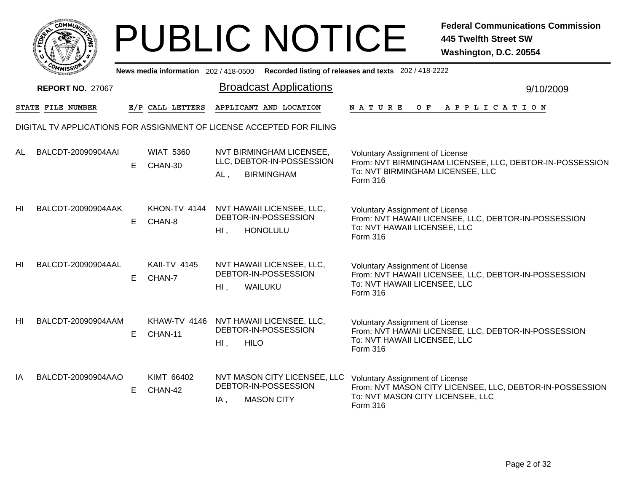|           | <b>COMMUNT</b> |   |
|-----------|----------------|---|
| EDE)<br>c |                | ્ |
|           |                |   |
|           | COM<br>MISS    |   |

|                | ַיכּבוואוייַ            |    |                               |        | News media information 202/418-0500 Recorded listing of releases and texts 202/418-2222 |                                                                                                                                                    |           |
|----------------|-------------------------|----|-------------------------------|--------|-----------------------------------------------------------------------------------------|----------------------------------------------------------------------------------------------------------------------------------------------------|-----------|
|                | <b>REPORT NO. 27067</b> |    |                               |        | <b>Broadcast Applications</b>                                                           |                                                                                                                                                    | 9/10/2009 |
|                | STATE FILE NUMBER       |    | E/P CALL LETTERS              |        | APPLICANT AND LOCATION                                                                  | NATURE<br>$O$ $F$<br>A P P L I C A T I O N                                                                                                         |           |
|                |                         |    |                               |        | DIGITAL TV APPLICATIONS FOR ASSIGNMENT OF LICENSE ACCEPTED FOR FILING                   |                                                                                                                                                    |           |
| AL             | BALCDT-20090904AAI      | E. | <b>WIAT 5360</b><br>CHAN-30   | AL,    | NVT BIRMINGHAM LICENSEE,<br>LLC, DEBTOR-IN-POSSESSION<br><b>BIRMINGHAM</b>              | <b>Voluntary Assignment of License</b><br>From: NVT BIRMINGHAM LICENSEE, LLC, DEBTOR-IN-POSSESSION<br>To: NVT BIRMINGHAM LICENSEE, LLC<br>Form 316 |           |
| H <sub>l</sub> | BALCDT-20090904AAK      | E. | CHAN-8                        | $HI$ . | KHON-TV 4144 NVT HAWAII LICENSEE, LLC,<br>DEBTOR-IN-POSSESSION<br><b>HONOLULU</b>       | <b>Voluntary Assignment of License</b><br>From: NVT HAWAII LICENSEE, LLC, DEBTOR-IN-POSSESSION<br>To: NVT HAWAII LICENSEE, LLC<br>Form 316         |           |
| HI             | BALCDT-20090904AAL      | E. | <b>KAII-TV 4145</b><br>CHAN-7 | HI,    | NVT HAWAII LICENSEE, LLC,<br>DEBTOR-IN-POSSESSION<br>WAILUKU                            | <b>Voluntary Assignment of License</b><br>From: NVT HAWAII LICENSEE, LLC, DEBTOR-IN-POSSESSION<br>To: NVT HAWAII LICENSEE, LLC<br><b>Form 316</b>  |           |
| HI             | BALCDT-20090904AAM      | E  | CHAN-11                       | $HI$ , | KHAW-TV 4146 NVT HAWAII LICENSEE, LLC,<br>DEBTOR-IN-POSSESSION<br><b>HILO</b>           | Voluntary Assignment of License<br>From: NVT HAWAII LICENSEE, LLC, DEBTOR-IN-POSSESSION<br>To: NVT HAWAII LICENSEE, LLC<br>Form 316                |           |
| IA             | BALCDT-20090904AAO      | E  | KIMT 66402<br>CHAN-42         | IA,    | NVT MASON CITY LICENSEE, LLC<br>DEBTOR-IN-POSSESSION<br><b>MASON CITY</b>               | <b>Voluntary Assignment of License</b><br>From: NVT MASON CITY LICENSEE, LLC, DEBTOR-IN-POSSESSION<br>To: NVT MASON CITY LICENSEE, LLC<br>Form 316 |           |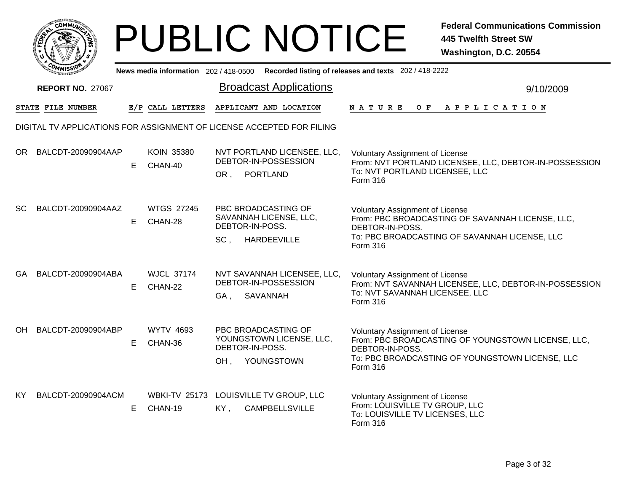

|           | <u>ייכצוואוליי</u>      |    |                                 | News media information 202/418-0500 Recorded listing of releases and texts 202/418-2222 |                                                                                                                                                                                |
|-----------|-------------------------|----|---------------------------------|-----------------------------------------------------------------------------------------|--------------------------------------------------------------------------------------------------------------------------------------------------------------------------------|
|           | <b>REPORT NO. 27067</b> |    |                                 | <b>Broadcast Applications</b>                                                           | 9/10/2009                                                                                                                                                                      |
|           | STATE FILE NUMBER       |    | E/P CALL LETTERS                | APPLICANT AND LOCATION                                                                  | <b>NATURE</b><br>O F<br>A P P L I C A T I O N                                                                                                                                  |
|           |                         |    |                                 | DIGITAL TV APPLICATIONS FOR ASSIGNMENT OF LICENSE ACCEPTED FOR FILING                   |                                                                                                                                                                                |
|           | OR BALCDT-20090904AAP   | E. | <b>KOIN 35380</b><br>CHAN-40    | NVT PORTLAND LICENSEE, LLC,<br>DEBTOR-IN-POSSESSION<br><b>PORTLAND</b><br>OR.           | <b>Voluntary Assignment of License</b><br>From: NVT PORTLAND LICENSEE, LLC, DEBTOR-IN-POSSESSION<br>To: NVT PORTLAND LICENSEE, LLC<br>Form 316                                 |
| <b>SC</b> | BALCDT-20090904AAZ      | E. | <b>WTGS 27245</b><br>CHAN-28    | PBC BROADCASTING OF<br>SAVANNAH LICENSE, LLC,<br>DEBTOR-IN-POSS.<br>SC,<br>HARDEEVILLE  | <b>Voluntary Assignment of License</b><br>From: PBC BROADCASTING OF SAVANNAH LICENSE, LLC,<br>DEBTOR-IN-POSS.<br>To: PBC BROADCASTING OF SAVANNAH LICENSE, LLC<br>Form 316     |
| GA        | BALCDT-20090904ABA      | E. | <b>WJCL 37174</b><br>CHAN-22    | NVT SAVANNAH LICENSEE, LLC,<br>DEBTOR-IN-POSSESSION<br>GA,<br>SAVANNAH                  | Voluntary Assignment of License<br>From: NVT SAVANNAH LICENSEE, LLC, DEBTOR-IN-POSSESSION<br>To: NVT SAVANNAH LICENSEE, LLC<br>Form 316                                        |
| OH        | BALCDT-20090904ABP      | E. | <b>WYTV 4693</b><br>CHAN-36     | PBC BROADCASTING OF<br>YOUNGSTOWN LICENSE, LLC,<br>DEBTOR-IN-POSS.<br>YOUNGSTOWN<br>OH. | <b>Voluntary Assignment of License</b><br>From: PBC BROADCASTING OF YOUNGSTOWN LICENSE, LLC,<br>DEBTOR-IN-POSS.<br>To: PBC BROADCASTING OF YOUNGSTOWN LICENSE, LLC<br>Form 316 |
| KY.       | BALCDT-20090904ACM      | E. | <b>WBKI-TV 25173</b><br>CHAN-19 | LOUISVILLE TV GROUP, LLC<br><b>CAMPBELLSVILLE</b><br>KY,                                | <b>Voluntary Assignment of License</b><br>From: LOUISVILLE TV GROUP, LLC<br>To: LOUISVILLE TV LICENSES, LLC<br>Form 316                                                        |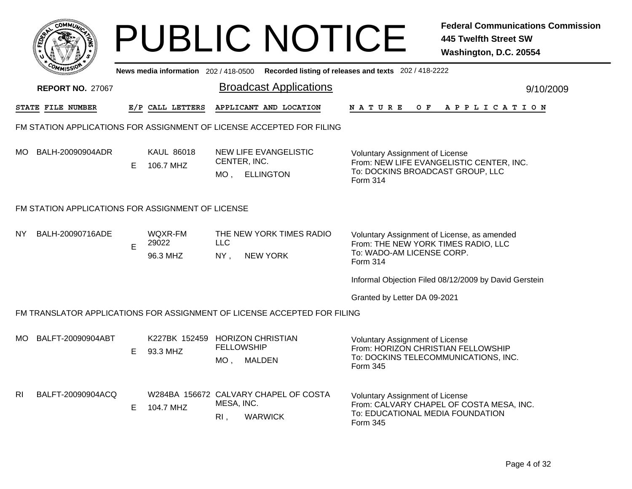| 4077<br>4               | New |
|-------------------------|-----|
| <b>REPORT NO. 27067</b> |     |

|     | יככוומיי                                          |   |                                             |                                 | News media information 202/418-0500 Recorded listing of releases and texts 202/418-2222 |                                                                                                                                    |           |
|-----|---------------------------------------------------|---|---------------------------------------------|---------------------------------|-----------------------------------------------------------------------------------------|------------------------------------------------------------------------------------------------------------------------------------|-----------|
|     | <b>REPORT NO. 27067</b>                           |   |                                             |                                 | <b>Broadcast Applications</b>                                                           |                                                                                                                                    | 9/10/2009 |
|     | STATE FILE NUMBER                                 |   | E/P CALL LETTERS                            |                                 | APPLICANT AND LOCATION                                                                  | <b>NATURE</b><br>O F<br>A P P L I C A T I O N                                                                                      |           |
|     |                                                   |   |                                             |                                 | FM STATION APPLICATIONS FOR ASSIGNMENT OF LICENSE ACCEPTED FOR FILING                   |                                                                                                                                    |           |
| MO. | BALH-20090904ADR                                  | E | <b>KAUL 86018</b><br>106.7 MHZ              | CENTER, INC.<br>MO <sub>1</sub> | NEW LIFE EVANGELISTIC<br><b>ELLINGTON</b>                                               | <b>Voluntary Assignment of License</b><br>From: NEW LIFE EVANGELISTIC CENTER, INC.<br>To: DOCKINS BROADCAST GROUP, LLC<br>Form 314 |           |
|     | FM STATION APPLICATIONS FOR ASSIGNMENT OF LICENSE |   |                                             |                                 |                                                                                         |                                                                                                                                    |           |
| NY. | BALH-20090716ADE                                  | E | WQXR-FM<br>29022<br>96.3 MHZ                | <b>LLC</b><br>NY,               | THE NEW YORK TIMES RADIO<br><b>NEW YORK</b>                                             | Voluntary Assignment of License, as amended<br>From: THE NEW YORK TIMES RADIO, LLC<br>To: WADO-AM LICENSE CORP.<br><b>Form 314</b> |           |
|     |                                                   |   |                                             |                                 |                                                                                         | Informal Objection Filed 08/12/2009 by David Gerstein                                                                              |           |
|     |                                                   |   |                                             |                                 |                                                                                         | Granted by Letter DA 09-2021                                                                                                       |           |
|     |                                                   |   |                                             |                                 | FM TRANSLATOR APPLICATIONS FOR ASSIGNMENT OF LICENSE ACCEPTED FOR FILING                |                                                                                                                                    |           |
| МO  | BALFT-20090904ABT                                 | E | K227BK 152459 HORIZON CHRISTIAN<br>93.3 MHZ | <b>FELLOWSHIP</b><br>MO,        | <b>MALDEN</b>                                                                           | <b>Voluntary Assignment of License</b><br>From: HORIZON CHRISTIAN FELLOWSHIP<br>To: DOCKINS TELECOMMUNICATIONS, INC.<br>Form 345   |           |
| RI. | BALFT-20090904ACQ                                 | E | 104.7 MHZ                                   | MESA, INC.<br>$R1$ ,            | W284BA 156672 CALVARY CHAPEL OF COSTA<br><b>WARWICK</b>                                 | Voluntary Assignment of License<br>From: CALVARY CHAPEL OF COSTA MESA, INC.<br>To: EDUCATIONAL MEDIA FOUNDATION<br>Form 345        |           |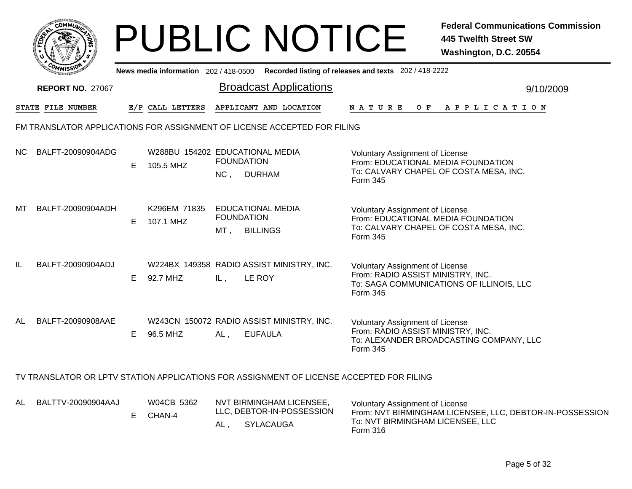|     |                                                                          |    |                                              |                          | <b>PUBLIC NOTICE</b>                                                                     |                                                                                                                                    | <b>Federal Communications Commission</b><br><b>445 Twelfth Street SW</b><br>Washington, D.C. 20554 |  |  |  |  |
|-----|--------------------------------------------------------------------------|----|----------------------------------------------|--------------------------|------------------------------------------------------------------------------------------|------------------------------------------------------------------------------------------------------------------------------------|----------------------------------------------------------------------------------------------------|--|--|--|--|
|     |                                                                          |    | News media information 202 / 418-0500        |                          |                                                                                          | Recorded listing of releases and texts 202 / 418-2222                                                                              |                                                                                                    |  |  |  |  |
|     | <b>REPORT NO. 27067</b>                                                  |    |                                              |                          | <b>Broadcast Applications</b>                                                            |                                                                                                                                    | 9/10/2009                                                                                          |  |  |  |  |
|     | STATE FILE NUMBER                                                        |    | E/P CALL LETTERS                             |                          | APPLICANT AND LOCATION                                                                   | <b>NATURE</b>                                                                                                                      | OF APPLICATION                                                                                     |  |  |  |  |
|     | FM TRANSLATOR APPLICATIONS FOR ASSIGNMENT OF LICENSE ACCEPTED FOR FILING |    |                                              |                          |                                                                                          |                                                                                                                                    |                                                                                                    |  |  |  |  |
| NC. | BALFT-20090904ADG                                                        | E. | W288BU 154202 EDUCATIONAL MEDIA<br>105.5 MHZ | <b>FOUNDATION</b><br>NC, | <b>DURHAM</b>                                                                            | Voluntary Assignment of License<br>From: EDUCATIONAL MEDIA FOUNDATION<br>To: CALVARY CHAPEL OF COSTA MESA, INC.<br>Form 345        |                                                                                                    |  |  |  |  |
| МT  | BALFT-20090904ADH                                                        | E. | K296EM 71835<br>107.1 MHZ                    | <b>FOUNDATION</b><br>MT, | <b>EDUCATIONAL MEDIA</b><br><b>BILLINGS</b>                                              | <b>Voluntary Assignment of License</b><br>From: EDUCATIONAL MEDIA FOUNDATION<br>To: CALVARY CHAPEL OF COSTA MESA, INC.<br>Form 345 |                                                                                                    |  |  |  |  |
| IL  | BALFT-20090904ADJ                                                        | E. | 92.7 MHZ                                     | IL,                      | W224BX 149358 RADIO ASSIST MINISTRY, INC.<br>LE ROY                                      | <b>Voluntary Assignment of License</b><br>From: RADIO ASSIST MINISTRY, INC.<br>Form 345                                            | To: SAGA COMMUNICATIONS OF ILLINOIS, LLC                                                           |  |  |  |  |
| AL  | BALFT-20090908AAE                                                        | E. | 96.5 MHZ                                     | AL,                      | W243CN 150072 RADIO ASSIST MINISTRY, INC.<br><b>EUFAULA</b>                              | Voluntary Assignment of License<br>From: RADIO ASSIST MINISTRY, INC.<br>Form 345                                                   | To: ALEXANDER BROADCASTING COMPANY, LLC                                                            |  |  |  |  |
|     |                                                                          |    |                                              |                          | TV TRANSLATOR OR LPTV STATION APPLICATIONS FOR ASSIGNMENT OF LICENSE ACCEPTED FOR FILING |                                                                                                                                    |                                                                                                    |  |  |  |  |
| AL  | BALTTV-20090904AAJ                                                       | E. | W04CB 5362<br>CHAN-4                         | AL,                      | NVT BIRMINGHAM LICENSEE,<br>LLC, DEBTOR-IN-POSSESSION<br>SYLACAUGA                       | Voluntary Assignment of License<br>To: NVT BIRMINGHAM LICENSEE, LLC<br>Form 316                                                    | From: NVT BIRMINGHAM LICENSEE, LLC, DEBTOR-IN-POSSESSION                                           |  |  |  |  |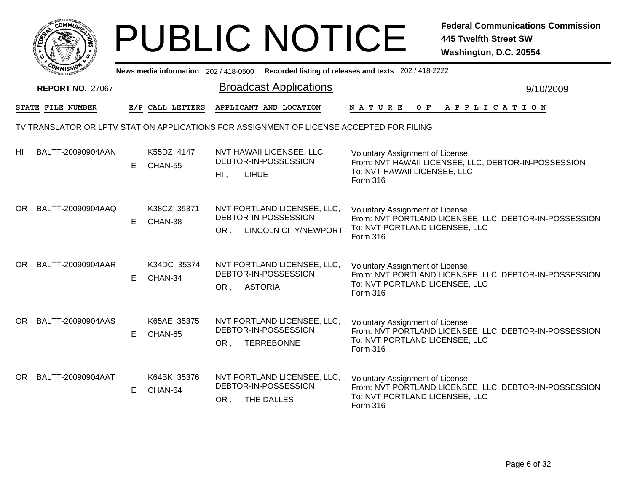|    |                                                                                          |    |                                     |                        | <b>PUBLIC NOTICE</b>                                                               |                                                                                      | <b>Federal Communications Commission</b><br><b>445 Twelfth Street SW</b><br>Washington, D.C. 20554 |
|----|------------------------------------------------------------------------------------------|----|-------------------------------------|------------------------|------------------------------------------------------------------------------------|--------------------------------------------------------------------------------------|----------------------------------------------------------------------------------------------------|
|    |                                                                                          |    | News media information 202/418-0500 |                        |                                                                                    | Recorded listing of releases and texts 202 / 418-2222                                |                                                                                                    |
|    | <b>REPORT NO. 27067</b>                                                                  |    |                                     |                        | <b>Broadcast Applications</b>                                                      |                                                                                      | 9/10/2009                                                                                          |
|    | STATE FILE NUMBER                                                                        |    | E/P CALL LETTERS                    |                        | APPLICANT AND LOCATION                                                             | N A T U R E<br>O F                                                                   | A P P L I C A T I O N                                                                              |
|    | TV TRANSLATOR OR LPTV STATION APPLICATIONS FOR ASSIGNMENT OF LICENSE ACCEPTED FOR FILING |    |                                     |                        |                                                                                    |                                                                                      |                                                                                                    |
| HI | BALTT-20090904AAN                                                                        | E. | K55DZ 4147<br>CHAN-55               | <b>LIHUE</b><br>$HI$ , | NVT HAWAII LICENSEE, LLC,<br>DEBTOR-IN-POSSESSION                                  | <b>Voluntary Assignment of License</b><br>To: NVT HAWAII LICENSEE, LLC<br>Form 316   | From: NVT HAWAII LICENSEE, LLC, DEBTOR-IN-POSSESSION                                               |
|    | OR BALTT-20090904AAQ                                                                     | E  | K38CZ 35371<br>CHAN-38              | OR.                    | NVT PORTLAND LICENSEE, LLC,<br>DEBTOR-IN-POSSESSION<br><b>LINCOLN CITY/NEWPORT</b> | <b>Voluntary Assignment of License</b><br>To: NVT PORTLAND LICENSEE, LLC<br>Form 316 | From: NVT PORTLAND LICENSEE, LLC, DEBTOR-IN-POSSESSION                                             |
|    | OR BALTT-20090904AAR                                                                     | E  | K34DC 35374<br>CHAN-34              | OR,                    | NVT PORTLAND LICENSEE, LLC,<br>DEBTOR-IN-POSSESSION<br><b>ASTORIA</b>              | <b>Voluntary Assignment of License</b><br>To: NVT PORTLAND LICENSEE, LLC<br>Form 316 | From: NVT PORTLAND LICENSEE, LLC, DEBTOR-IN-POSSESSION                                             |
| OR | BALTT-20090904AAS                                                                        | E  | K65AE 35375<br>CHAN-65              | OR,                    | NVT PORTLAND LICENSEE, LLC,<br>DEBTOR-IN-POSSESSION<br><b>TERREBONNE</b>           | Voluntary Assignment of License<br>To: NVT PORTLAND LICENSEE, LLC<br>Form 316        | From: NVT PORTLAND LICENSEE, LLC, DEBTOR-IN-POSSESSION                                             |
|    | OR BALTT-20090904AAT                                                                     | E. | K64BK 35376<br>CHAN-64              | OR, THE DALLES         | NVT PORTLAND LICENSEE, LLC,<br>DEBTOR-IN-POSSESSION                                | <b>Voluntary Assignment of License</b><br>To: NVT PORTLAND LICENSEE, LLC<br>Form 316 | From: NVT PORTLAND LICENSEE, LLC, DEBTOR-IN-POSSESSION                                             |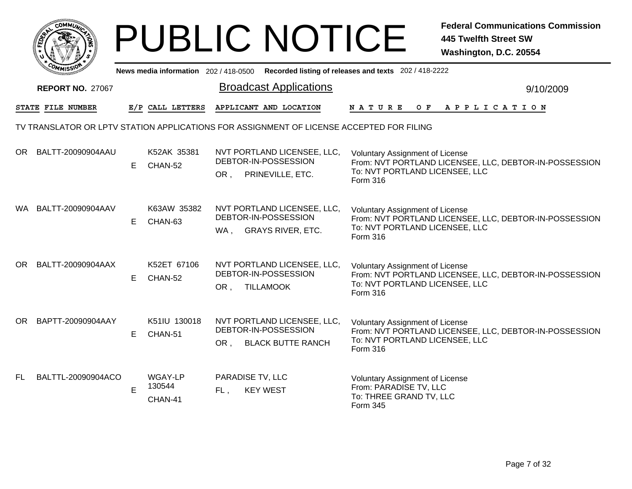|                                                                                          |                          |    |                              |                                                                                | <b>PUBLIC NOTICE</b>     |                                                                                                         | <b>Federal Communications Commission</b><br><b>445 Twelfth Street SW</b><br>Washington, D.C. 20554 |  |  |  |
|------------------------------------------------------------------------------------------|--------------------------|----|------------------------------|--------------------------------------------------------------------------------|--------------------------|---------------------------------------------------------------------------------------------------------|----------------------------------------------------------------------------------------------------|--|--|--|
|                                                                                          |                          |    |                              |                                                                                |                          | News media information 202 / 418-0500 Recorded listing of releases and texts 202 / 418-2222             |                                                                                                    |  |  |  |
|                                                                                          | <b>REPORT NO. 27067</b>  |    |                              | <b>Broadcast Applications</b>                                                  |                          |                                                                                                         | 9/10/2009                                                                                          |  |  |  |
|                                                                                          | <b>STATE FILE NUMBER</b> |    | E/P CALL LETTERS             | APPLICANT AND LOCATION                                                         |                          | <b>NATURE</b><br>O F                                                                                    | APPLICATION                                                                                        |  |  |  |
| TV TRANSLATOR OR LPTV STATION APPLICATIONS FOR ASSIGNMENT OF LICENSE ACCEPTED FOR FILING |                          |    |                              |                                                                                |                          |                                                                                                         |                                                                                                    |  |  |  |
| OR                                                                                       | BALTT-20090904AAU        | E. | K52AK 35381<br>CHAN-52       | NVT PORTLAND LICENSEE, LLC,<br>DEBTOR-IN-POSSESSION<br>OR,                     | PRINEVILLE, ETC.         | Voluntary Assignment of License<br>To: NVT PORTLAND LICENSEE, LLC<br>Form 316                           | From: NVT PORTLAND LICENSEE, LLC, DEBTOR-IN-POSSESSION                                             |  |  |  |
|                                                                                          | WA BALTT-20090904AAV     | E  | K63AW 35382<br>CHAN-63       | NVT PORTLAND LICENSEE, LLC,<br>DEBTOR-IN-POSSESSION<br>WA,                     | <b>GRAYS RIVER, ETC.</b> | <b>Voluntary Assignment of License</b><br>To: NVT PORTLAND LICENSEE, LLC<br>Form 316                    | From: NVT PORTLAND LICENSEE, LLC, DEBTOR-IN-POSSESSION                                             |  |  |  |
|                                                                                          | OR BALTT-20090904AAX     | E. | K52ET 67106<br>CHAN-52       | NVT PORTLAND LICENSEE, LLC,<br>DEBTOR-IN-POSSESSION<br><b>TILLAMOOK</b><br>OR, |                          | Voluntary Assignment of License<br>To: NVT PORTLAND LICENSEE, LLC<br>Form 316                           | From: NVT PORTLAND LICENSEE, LLC, DEBTOR-IN-POSSESSION                                             |  |  |  |
|                                                                                          | OR BAPTT-20090904AAY     | E. | K51IU 130018<br>CHAN-51      | NVT PORTLAND LICENSEE, LLC,<br>DEBTOR-IN-POSSESSION<br>OR.                     | <b>BLACK BUTTE RANCH</b> | <b>Voluntary Assignment of License</b><br>To: NVT PORTLAND LICENSEE, LLC<br>Form 316                    | From: NVT PORTLAND LICENSEE, LLC, DEBTOR-IN-POSSESSION                                             |  |  |  |
| FL.                                                                                      | BALTTL-20090904ACO       | E  | WGAY-LP<br>130544<br>CHAN-41 | PARADISE TV, LLC<br><b>KEY WEST</b><br>FL,                                     |                          | <b>Voluntary Assignment of License</b><br>From: PARADISE TV, LLC<br>To: THREE GRAND TV, LLC<br>Form 345 |                                                                                                    |  |  |  |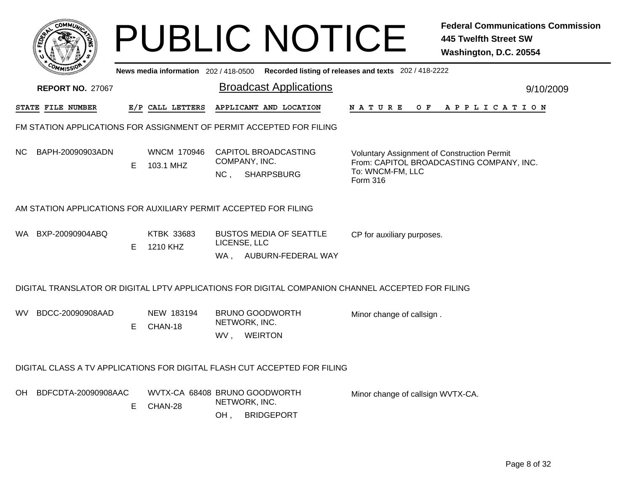| Recorded listing of releases and texts 202 / 418-2222<br>News media information 202 / 418-0500<br><b>Broadcast Applications</b><br><b>REPORT NO. 27067</b><br>9/10/2009<br>E/P CALL LETTERS<br>APPLICANT AND LOCATION<br>STATE FILE NUMBER<br>N A T U R E<br>O F<br>A P P L I C A T I O N<br>FM STATION APPLICATIONS FOR ASSIGNMENT OF PERMIT ACCEPTED FOR FILING<br>BAPH-20090903ADN<br><b>WNCM 170946</b><br>CAPITOL BROADCASTING<br>NC.<br>Voluntary Assignment of Construction Permit<br>COMPANY, INC.<br>From: CAPITOL BROADCASTING COMPANY, INC.<br>Е<br>103.1 MHZ<br>To: WNCM-FM, LLC<br>NC <sub>1</sub><br><b>SHARPSBURG</b><br>Form 316<br>AM STATION APPLICATIONS FOR AUXILIARY PERMIT ACCEPTED FOR FILING<br>KTBK 33683<br><b>BUSTOS MEDIA OF SEATTLE</b><br>BXP-20090904ABQ<br>WA .<br>CP for auxiliary purposes.<br>LICENSE, LLC<br>Е<br>1210 KHZ<br>WA, AUBURN-FEDERAL WAY<br>DIGITAL TRANSLATOR OR DIGITAL LPTV APPLICATIONS FOR DIGITAL COMPANION CHANNEL ACCEPTED FOR FILING<br>BDCC-20090908AAD<br>NEW 183194<br><b>BRUNO GOODWORTH</b><br>WV.<br>Minor change of callsign.<br>NETWORK, INC.<br>E.<br>CHAN-18<br>WV, WEIRTON<br>DIGITAL CLASS A TV APPLICATIONS FOR DIGITAL FLASH CUT ACCEPTED FOR FILING<br>BDFCDTA-20090908AAC<br>WVTX-CA 68408 BRUNO GOODWORTH<br>OH.<br>Minor change of callsign WVTX-CA.<br>NETWORK, INC.<br>Е<br>CHAN-28 | <b>COMMUN</b> |  |     | <b>PUBLIC NOTICE</b> | <b>Federal Communications Commission</b><br><b>445 Twelfth Street SW</b><br>Washington, D.C. 20554 |
|------------------------------------------------------------------------------------------------------------------------------------------------------------------------------------------------------------------------------------------------------------------------------------------------------------------------------------------------------------------------------------------------------------------------------------------------------------------------------------------------------------------------------------------------------------------------------------------------------------------------------------------------------------------------------------------------------------------------------------------------------------------------------------------------------------------------------------------------------------------------------------------------------------------------------------------------------------------------------------------------------------------------------------------------------------------------------------------------------------------------------------------------------------------------------------------------------------------------------------------------------------------------------------------------------------------------------------------------------------------|---------------|--|-----|----------------------|----------------------------------------------------------------------------------------------------|
|                                                                                                                                                                                                                                                                                                                                                                                                                                                                                                                                                                                                                                                                                                                                                                                                                                                                                                                                                                                                                                                                                                                                                                                                                                                                                                                                                                  |               |  |     |                      |                                                                                                    |
|                                                                                                                                                                                                                                                                                                                                                                                                                                                                                                                                                                                                                                                                                                                                                                                                                                                                                                                                                                                                                                                                                                                                                                                                                                                                                                                                                                  |               |  |     |                      |                                                                                                    |
|                                                                                                                                                                                                                                                                                                                                                                                                                                                                                                                                                                                                                                                                                                                                                                                                                                                                                                                                                                                                                                                                                                                                                                                                                                                                                                                                                                  |               |  |     |                      |                                                                                                    |
|                                                                                                                                                                                                                                                                                                                                                                                                                                                                                                                                                                                                                                                                                                                                                                                                                                                                                                                                                                                                                                                                                                                                                                                                                                                                                                                                                                  |               |  |     |                      |                                                                                                    |
|                                                                                                                                                                                                                                                                                                                                                                                                                                                                                                                                                                                                                                                                                                                                                                                                                                                                                                                                                                                                                                                                                                                                                                                                                                                                                                                                                                  |               |  |     |                      |                                                                                                    |
|                                                                                                                                                                                                                                                                                                                                                                                                                                                                                                                                                                                                                                                                                                                                                                                                                                                                                                                                                                                                                                                                                                                                                                                                                                                                                                                                                                  |               |  |     |                      |                                                                                                    |
|                                                                                                                                                                                                                                                                                                                                                                                                                                                                                                                                                                                                                                                                                                                                                                                                                                                                                                                                                                                                                                                                                                                                                                                                                                                                                                                                                                  |               |  |     |                      |                                                                                                    |
|                                                                                                                                                                                                                                                                                                                                                                                                                                                                                                                                                                                                                                                                                                                                                                                                                                                                                                                                                                                                                                                                                                                                                                                                                                                                                                                                                                  |               |  |     |                      |                                                                                                    |
|                                                                                                                                                                                                                                                                                                                                                                                                                                                                                                                                                                                                                                                                                                                                                                                                                                                                                                                                                                                                                                                                                                                                                                                                                                                                                                                                                                  |               |  |     |                      |                                                                                                    |
|                                                                                                                                                                                                                                                                                                                                                                                                                                                                                                                                                                                                                                                                                                                                                                                                                                                                                                                                                                                                                                                                                                                                                                                                                                                                                                                                                                  |               |  |     |                      |                                                                                                    |
| <b>BRIDGEPORT</b>                                                                                                                                                                                                                                                                                                                                                                                                                                                                                                                                                                                                                                                                                                                                                                                                                                                                                                                                                                                                                                                                                                                                                                                                                                                                                                                                                |               |  | OH, |                      |                                                                                                    |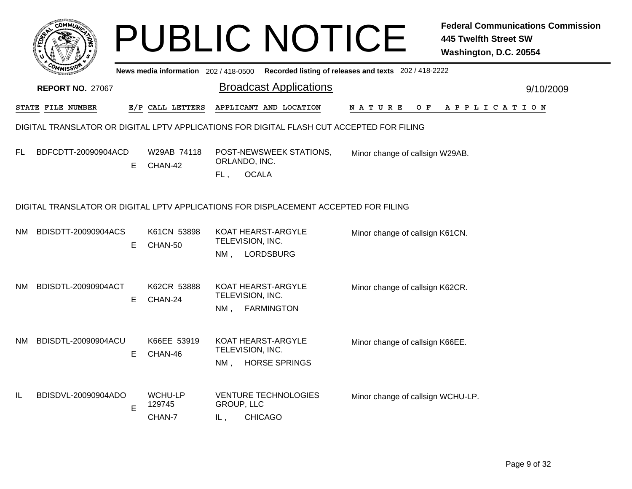|     | <b>COMMIT</b>           |    |                                    |                          | <b>PUBLIC NOTICE</b>                                                                      |                                   | <b>Federal Communications Commission</b><br><b>445 Twelfth Street SW</b><br>Washington, D.C. 20554 |
|-----|-------------------------|----|------------------------------------|--------------------------|-------------------------------------------------------------------------------------------|-----------------------------------|----------------------------------------------------------------------------------------------------|
|     |                         |    |                                    |                          | News media information 202/418-0500 Recorded listing of releases and texts 202/418-2222   |                                   |                                                                                                    |
|     | <b>REPORT NO. 27067</b> |    |                                    |                          | <b>Broadcast Applications</b>                                                             |                                   | 9/10/2009                                                                                          |
|     | STATE FILE NUMBER       |    | E/P CALL LETTERS                   |                          | APPLICANT AND LOCATION                                                                    | N A T U R E<br>O F                | A P P L I C A T I O N                                                                              |
|     |                         |    |                                    |                          | DIGITAL TRANSLATOR OR DIGITAL LPTV APPLICATIONS FOR DIGITAL FLASH CUT ACCEPTED FOR FILING |                                   |                                                                                                    |
| FL  | BDFCDTT-20090904ACD     | Е  | W29AB 74118<br>CHAN-42             | FL,                      | POST-NEWSWEEK STATIONS,<br>ORLANDO, INC.<br><b>OCALA</b>                                  | Minor change of callsign W29AB.   |                                                                                                    |
|     |                         |    |                                    |                          | DIGITAL TRANSLATOR OR DIGITAL LPTV APPLICATIONS FOR DISPLACEMENT ACCEPTED FOR FILING      |                                   |                                                                                                    |
| NM. | BDISDTT-20090904ACS     | E. | K61CN 53898<br>CHAN-50             | $NM$ ,                   | KOAT HEARST-ARGYLE<br>TELEVISION, INC.<br><b>LORDSBURG</b>                                | Minor change of callsign K61CN.   |                                                                                                    |
| NM. | BDISDTL-20090904ACT     | E. | K62CR 53888<br>CHAN-24             | NM.                      | KOAT HEARST-ARGYLE<br>TELEVISION, INC.<br><b>FARMINGTON</b>                               | Minor change of callsign K62CR.   |                                                                                                    |
| NM. | BDISDTL-20090904ACU     | E  | K66EE 53919<br>CHAN-46             | NM.                      | KOAT HEARST-ARGYLE<br>TELEVISION, INC.<br><b>HORSE SPRINGS</b>                            | Minor change of callsign K66EE.   |                                                                                                    |
| IL  | BDISDVL-20090904ADO     | E  | <b>WCHU-LP</b><br>129745<br>CHAN-7 | <b>GROUP, LLC</b><br>IL, | <b>VENTURE TECHNOLOGIES</b><br><b>CHICAGO</b>                                             | Minor change of callsign WCHU-LP. |                                                                                                    |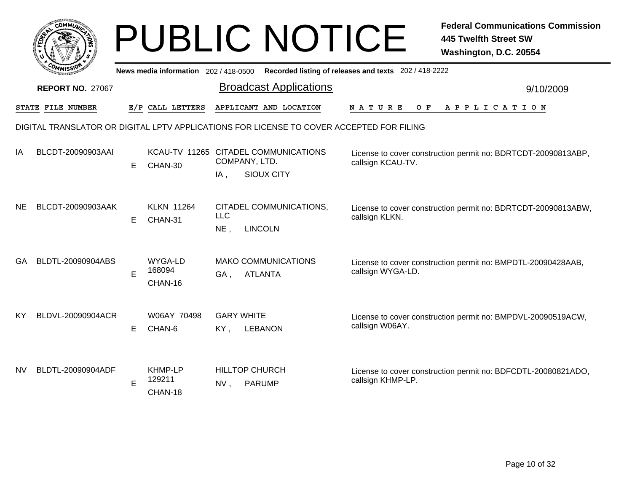|                                                                                          | <b>OMMU</b>              |    |                                     |                          | <b>PUBLIC NOTICE</b>                         |                                                                                    | <b>Federal Communications Commission</b><br><b>445 Twelfth Street SW</b><br>Washington, D.C. 20554 |  |  |
|------------------------------------------------------------------------------------------|--------------------------|----|-------------------------------------|--------------------------|----------------------------------------------|------------------------------------------------------------------------------------|----------------------------------------------------------------------------------------------------|--|--|
|                                                                                          |                          |    | News media information 202/418-0500 |                          |                                              | Recorded listing of releases and texts 202 / 418-2222                              |                                                                                                    |  |  |
|                                                                                          | <b>REPORT NO. 27067</b>  |    |                                     |                          | <b>Broadcast Applications</b>                |                                                                                    | 9/10/2009                                                                                          |  |  |
|                                                                                          | <b>STATE FILE NUMBER</b> |    | E/P CALL LETTERS                    |                          | APPLICANT AND LOCATION                       | NATURE<br>O F                                                                      | A P P L I C A T I O N                                                                              |  |  |
| DIGITAL TRANSLATOR OR DIGITAL LPTV APPLICATIONS FOR LICENSE TO COVER ACCEPTED FOR FILING |                          |    |                                     |                          |                                              |                                                                                    |                                                                                                    |  |  |
| ΙA                                                                                       | BLCDT-20090903AAI        | E. | CHAN-30                             | COMPANY, LTD.            | KCAU-TV 11265 CITADEL COMMUNICATIONS         | License to cover construction permit no: BDRTCDT-20090813ABP,<br>callsign KCAU-TV. |                                                                                                    |  |  |
|                                                                                          |                          |    |                                     | $IA$ ,                   | <b>SIOUX CITY</b>                            |                                                                                    |                                                                                                    |  |  |
| NE.                                                                                      | BLCDT-20090903AAK        | E  | <b>KLKN 11264</b><br>CHAN-31        | <b>LLC</b><br>NE,        | CITADEL COMMUNICATIONS,<br><b>LINCOLN</b>    | callsign KLKN.                                                                     | License to cover construction permit no: BDRTCDT-20090813ABW,                                      |  |  |
| GA                                                                                       | BLDTL-20090904ABS        | E  | WYGA-LD<br>168094<br>CHAN-16        | GA .                     | <b>MAKO COMMUNICATIONS</b><br><b>ATLANTA</b> | callsign WYGA-LD.                                                                  | License to cover construction permit no: BMPDTL-20090428AAB,                                       |  |  |
| ΚY                                                                                       | BLDVL-20090904ACR        | E. | W06AY 70498<br>CHAN-6               | <b>GARY WHITE</b><br>KY, | <b>LEBANON</b>                               | callsign W06AY.                                                                    | License to cover construction permit no: BMPDVL-20090519ACW,                                       |  |  |
| NV.                                                                                      | BLDTL-20090904ADF        | Е  | <b>KHMP-LP</b><br>129211<br>CHAN-18 | NV <sub>1</sub>          | <b>HILLTOP CHURCH</b><br><b>PARUMP</b>       | callsign KHMP-LP.                                                                  | License to cover construction permit no: BDFCDTL-20080821ADO,                                      |  |  |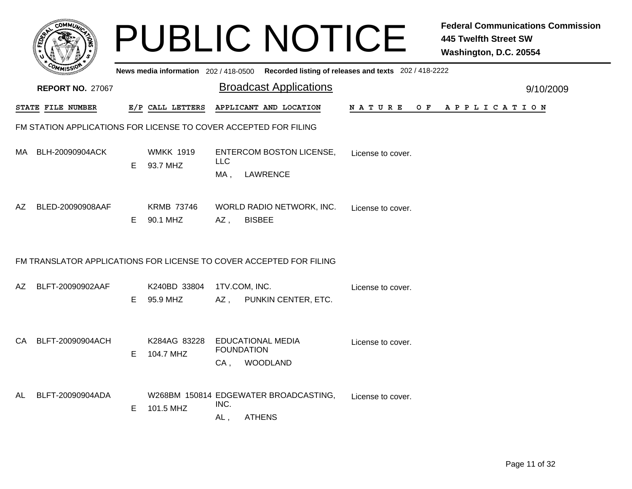|     |                                                                     |    | <b>PUBLIC NOTICE</b>                               |                   |                                                                  |                                                                                         | <b>Federal Communications Commission</b><br><b>445 Twelfth Street SW</b><br>Washington, D.C. 20554 |
|-----|---------------------------------------------------------------------|----|----------------------------------------------------|-------------------|------------------------------------------------------------------|-----------------------------------------------------------------------------------------|----------------------------------------------------------------------------------------------------|
|     |                                                                     |    |                                                    |                   |                                                                  | News media information 202/418-0500 Recorded listing of releases and texts 202/418-2222 |                                                                                                    |
|     | <b>REPORT NO. 27067</b>                                             |    |                                                    |                   | <b>Broadcast Applications</b>                                    |                                                                                         | 9/10/2009                                                                                          |
|     | STATE FILE NUMBER                                                   |    | E/P CALL LETTERS                                   |                   | APPLICANT AND LOCATION                                           |                                                                                         | NATURE OF APPLICATION                                                                              |
|     | FM STATION APPLICATIONS FOR LICENSE TO COVER ACCEPTED FOR FILING    |    |                                                    |                   |                                                                  |                                                                                         |                                                                                                    |
| MA. | BLH-20090904ACK                                                     | E. | <b>WMKK 1919</b><br>93.7 MHZ                       | <b>LLC</b><br>MA, | <b>ENTERCOM BOSTON LICENSE,</b><br><b>LAWRENCE</b>               | License to cover.                                                                       |                                                                                                    |
| AZ. | BLED-20090908AAF                                                    | E. | <b>KRMB 73746</b><br>90.1 MHZ                      | AZ,               | WORLD RADIO NETWORK, INC.<br><b>BISBEE</b>                       | License to cover.                                                                       |                                                                                                    |
|     | FM TRANSLATOR APPLICATIONS FOR LICENSE TO COVER ACCEPTED FOR FILING |    |                                                    |                   |                                                                  |                                                                                         |                                                                                                    |
| AZ. | BLFT-20090902AAF                                                    | E. | K240BD 33804<br>95.9 MHZ                           |                   | 1TV.COM, INC.<br>AZ, PUNKIN CENTER, ETC.                         | License to cover.                                                                       |                                                                                                    |
| CA. | BLFT-20090904ACH                                                    | Е  | K284AG 83228<br>104.7 MHZ                          | CA,               | <b>EDUCATIONAL MEDIA</b><br><b>FOUNDATION</b><br><b>WOODLAND</b> | License to cover.                                                                       |                                                                                                    |
| AL  | BLFT-20090904ADA                                                    | E. | W268BM 150814 EDGEWATER BROADCASTING,<br>101.5 MHZ | INC.<br>AL,       | <b>ATHENS</b>                                                    | License to cover.                                                                       |                                                                                                    |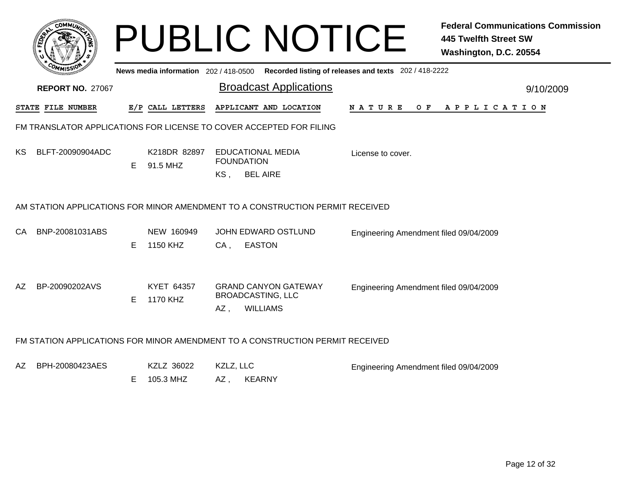|           |                                                                               |    | <b>PUBLIC NOTICE</b>     |                  |                                                                            |                                                                                             | <b>Federal Communications Commission</b><br><b>445 Twelfth Street SW</b><br>Washington, D.C. 20554 |
|-----------|-------------------------------------------------------------------------------|----|--------------------------|------------------|----------------------------------------------------------------------------|---------------------------------------------------------------------------------------------|----------------------------------------------------------------------------------------------------|
|           |                                                                               |    |                          |                  |                                                                            | News media information 202 / 418-0500 Recorded listing of releases and texts 202 / 418-2222 |                                                                                                    |
|           | <b>REPORT NO. 27067</b>                                                       |    |                          |                  | <b>Broadcast Applications</b>                                              |                                                                                             | 9/10/2009                                                                                          |
|           | STATE FILE NUMBER                                                             |    | E/P CALL LETTERS         |                  | APPLICANT AND LOCATION                                                     | <b>NATURE</b>                                                                               | OF APPLICATION                                                                                     |
|           | FM TRANSLATOR APPLICATIONS FOR LICENSE TO COVER ACCEPTED FOR FILING           |    |                          |                  |                                                                            |                                                                                             |                                                                                                    |
| KS.       | BLFT-20090904ADC                                                              | E  | K218DR 82897<br>91.5 MHZ | KS,              | EDUCATIONAL MEDIA<br><b>FOUNDATION</b><br><b>BEL AIRE</b>                  | License to cover.                                                                           |                                                                                                    |
|           | AM STATION APPLICATIONS FOR MINOR AMENDMENT TO A CONSTRUCTION PERMIT RECEIVED |    |                          |                  |                                                                            |                                                                                             |                                                                                                    |
| <b>CA</b> | BNP-20081031ABS                                                               | E. | NEW 160949<br>1150 KHZ   | CA,              | JOHN EDWARD OSTLUND<br><b>EASTON</b>                                       | Engineering Amendment filed 09/04/2009                                                      |                                                                                                    |
| AZ        | BP-20090202AVS                                                                | E. | KYET 64357<br>1170 KHZ   | AZ,              | <b>GRAND CANYON GATEWAY</b><br><b>BROADCASTING, LLC</b><br><b>WILLIAMS</b> | Engineering Amendment filed 09/04/2009                                                      |                                                                                                    |
|           | FM STATION APPLICATIONS FOR MINOR AMENDMENT TO A CONSTRUCTION PERMIT RECEIVED |    |                          |                  |                                                                            |                                                                                             |                                                                                                    |
| AZ.       | BPH-20080423AES                                                               | E. | KZLZ 36022<br>105.3 MHZ  | KZLZ, LLC<br>AZ, | <b>KEARNY</b>                                                              | Engineering Amendment filed 09/04/2009                                                      |                                                                                                    |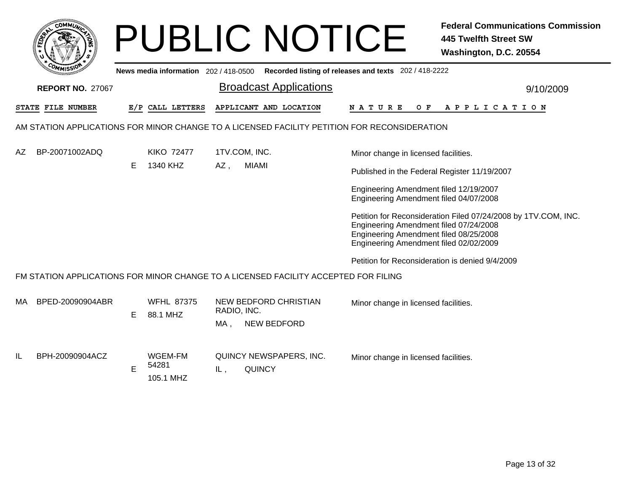|     |                                                                                              |    |                                       |                     | <b>PUBLIC NOTICE</b>                                                                                                       |                                                                | <b>Federal Communications Commission</b><br><b>445 Twelfth Street SW</b><br>Washington, D.C. 20554 |  |  |
|-----|----------------------------------------------------------------------------------------------|----|---------------------------------------|---------------------|----------------------------------------------------------------------------------------------------------------------------|----------------------------------------------------------------|----------------------------------------------------------------------------------------------------|--|--|
|     |                                                                                              |    | News media information 202 / 418-0500 |                     |                                                                                                                            | Recorded listing of releases and texts 202 / 418-2222          |                                                                                                    |  |  |
|     | <b>REPORT NO. 27067</b>                                                                      |    |                                       |                     | <b>Broadcast Applications</b>                                                                                              |                                                                | 9/10/2009                                                                                          |  |  |
|     | STATE FILE NUMBER                                                                            |    | E/P CALL LETTERS                      |                     | APPLICANT AND LOCATION                                                                                                     | N A T U R E                                                    | OF APPLICATION                                                                                     |  |  |
|     | AM STATION APPLICATIONS FOR MINOR CHANGE TO A LICENSED FACILITY PETITION FOR RECONSIDERATION |    |                                       |                     |                                                                                                                            |                                                                |                                                                                                    |  |  |
| AZ. | BP-20071002ADQ                                                                               |    | <b>KIKO 72477</b>                     |                     | 1TV.COM, INC.                                                                                                              | Minor change in licensed facilities.                           |                                                                                                    |  |  |
|     |                                                                                              | E. | 1340 KHZ                              | <b>MIAMI</b><br>AZ, | Published in the Federal Register 11/19/2007                                                                               |                                                                |                                                                                                    |  |  |
|     |                                                                                              |    |                                       |                     | Engineering Amendment filed 12/19/2007<br>Engineering Amendment filed 04/07/2008                                           |                                                                |                                                                                                    |  |  |
|     |                                                                                              |    |                                       |                     | Engineering Amendment filed 07/24/2008<br>Engineering Amendment filed 08/25/2008<br>Engineering Amendment filed 02/02/2009 | Petition for Reconsideration Filed 07/24/2008 by 1TV.COM, INC. |                                                                                                    |  |  |
|     |                                                                                              |    |                                       |                     |                                                                                                                            | Petition for Reconsideration is denied 9/4/2009                |                                                                                                    |  |  |
|     |                                                                                              |    |                                       |                     | FM STATION APPLICATIONS FOR MINOR CHANGE TO A LICENSED FACILITY ACCEPTED FOR FILING                                        |                                                                |                                                                                                    |  |  |
| MA  | BPED-20090904ABR                                                                             | E. | <b>WFHL 87375</b><br>88.1 MHZ         | RADIO, INC.<br>MA,  | <b>NEW BEDFORD CHRISTIAN</b><br><b>NEW BEDFORD</b>                                                                         | Minor change in licensed facilities.                           |                                                                                                    |  |  |
| IL  | BPH-20090904ACZ                                                                              | E  | WGEM-FM<br>54281<br>105.1 MHZ         | IL.                 | QUINCY NEWSPAPERS, INC.<br><b>QUINCY</b>                                                                                   | Minor change in licensed facilities.                           |                                                                                                    |  |  |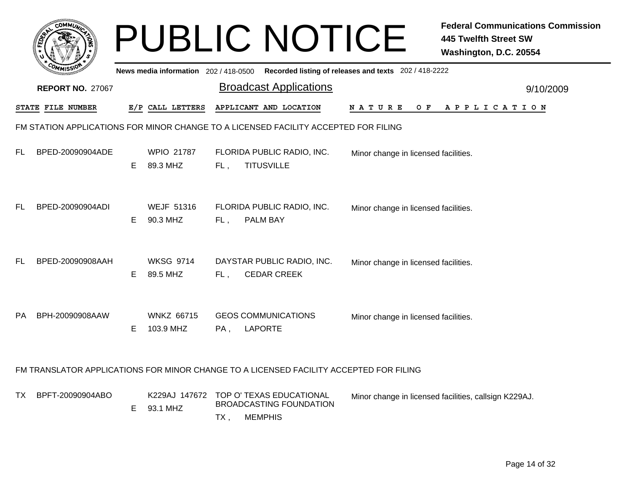|     | <b>COMMUT</b>           |    |                                     |     | <b>PUBLIC NOTICE</b>                                                                       |                                                       | <b>Federal Communications Commission</b><br><b>445 Twelfth Street SW</b><br>Washington, D.C. 20554 |
|-----|-------------------------|----|-------------------------------------|-----|--------------------------------------------------------------------------------------------|-------------------------------------------------------|----------------------------------------------------------------------------------------------------|
|     |                         |    | News media information 202/418-0500 |     |                                                                                            | Recorded listing of releases and texts 202 / 418-2222 |                                                                                                    |
|     | <b>REPORT NO. 27067</b> |    |                                     |     | <b>Broadcast Applications</b>                                                              |                                                       | 9/10/2009                                                                                          |
|     | STATE FILE NUMBER       |    | E/P CALL LETTERS                    |     | APPLICANT AND LOCATION                                                                     | NATURE<br>O F                                         | APPLICATION                                                                                        |
|     |                         |    |                                     |     | FM STATION APPLICATIONS FOR MINOR CHANGE TO A LICENSED FACILITY ACCEPTED FOR FILING        |                                                       |                                                                                                    |
| FL. | BPED-20090904ADE        | E. | <b>WPIO 21787</b><br>89.3 MHZ       | FL, | FLORIDA PUBLIC RADIO, INC.<br><b>TITUSVILLE</b>                                            | Minor change in licensed facilities.                  |                                                                                                    |
| FL  | BPED-20090904ADI        | E  | <b>WEJF 51316</b><br>90.3 MHZ       | FL, | FLORIDA PUBLIC RADIO, INC.<br>PALM BAY                                                     | Minor change in licensed facilities.                  |                                                                                                    |
| FL. | BPED-20090908AAH        | Е  | <b>WKSG 9714</b><br>89.5 MHZ        | FL, | DAYSTAR PUBLIC RADIO, INC.<br><b>CEDAR CREEK</b>                                           | Minor change in licensed facilities.                  |                                                                                                    |
|     | PA BPH-20090908AAW      | Е  | <b>WNKZ 66715</b><br>103.9 MHZ      | PA, | <b>GEOS COMMUNICATIONS</b><br><b>LAPORTE</b>                                               | Minor change in licensed facilities.                  |                                                                                                    |
|     |                         |    |                                     |     | FM TRANSLATOR APPLICATIONS FOR MINOR CHANGE TO A LICENSED FACILITY ACCEPTED FOR FILING     |                                                       |                                                                                                    |
| TX  | BPFT-20090904ABO        | E  | 93.1 MHZ                            | TX, | K229AJ 147672 TOP O' TEXAS EDUCATIONAL<br><b>BROADCASTING FOUNDATION</b><br><b>MEMPHIS</b> |                                                       | Minor change in licensed facilities, callsign K229AJ.                                              |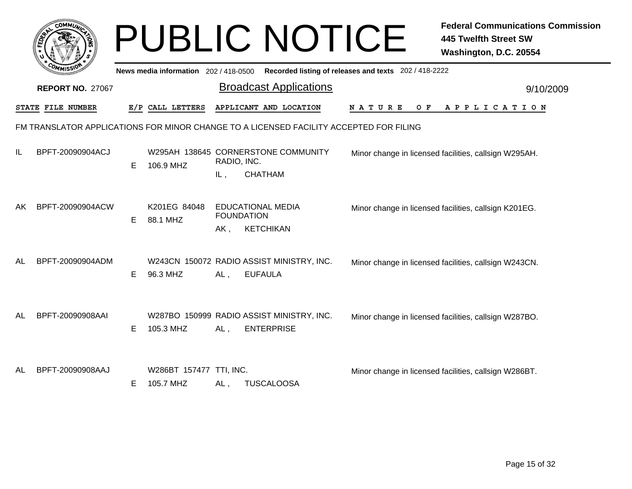|    | <b>COMMI</b>                                                                           |    |                                       |                                                      | <b>PUBLIC NOTICE</b>                                           |                                                       | <b>Federal Communications Commission</b><br><b>445 Twelfth Street SW</b><br>Washington, D.C. 20554 |
|----|----------------------------------------------------------------------------------------|----|---------------------------------------|------------------------------------------------------|----------------------------------------------------------------|-------------------------------------------------------|----------------------------------------------------------------------------------------------------|
|    |                                                                                        |    | News media information 202 / 418-0500 |                                                      |                                                                | Recorded listing of releases and texts 202 / 418-2222 |                                                                                                    |
|    | <b>REPORT NO. 27067</b>                                                                |    |                                       |                                                      | <b>Broadcast Applications</b>                                  |                                                       | 9/10/2009                                                                                          |
|    | STATE FILE NUMBER                                                                      |    | E/P CALL LETTERS                      |                                                      | APPLICANT AND LOCATION                                         | N A T U R E<br>O F                                    | A P P L I C A T I O N                                                                              |
|    | FM TRANSLATOR APPLICATIONS FOR MINOR CHANGE TO A LICENSED FACILITY ACCEPTED FOR FILING |    |                                       |                                                      |                                                                |                                                       |                                                                                                    |
| IL | BPFT-20090904ACJ                                                                       | E  | 106.9 MHZ                             | RADIO, INC.<br>IL,                                   | W295AH 138645 CORNERSTONE COMMUNITY<br><b>CHATHAM</b>          |                                                       | Minor change in licensed facilities, callsign W295AH.                                              |
| AK | BPFT-20090904ACW                                                                       | E. | K201EG 84048<br>88.1 MHZ              | <b>EDUCATIONAL MEDIA</b><br><b>FOUNDATION</b><br>AK, | <b>KETCHIKAN</b>                                               |                                                       | Minor change in licensed facilities, callsign K201EG.                                              |
| AL | BPFT-20090904ADM                                                                       | E. | 96.3 MHZ                              | AL,                                                  | W243CN 150072 RADIO ASSIST MINISTRY, INC.<br><b>EUFAULA</b>    |                                                       | Minor change in licensed facilities, callsign W243CN.                                              |
| AL | BPFT-20090908AAI                                                                       | E. | 105.3 MHZ                             | AL,                                                  | W287BO 150999 RADIO ASSIST MINISTRY, INC.<br><b>ENTERPRISE</b> |                                                       | Minor change in licensed facilities, callsign W287BO.                                              |
| AL | BPFT-20090908AAJ                                                                       | E. | W286BT 157477 TTI, INC.<br>105.7 MHZ  | AL,                                                  | <b>TUSCALOOSA</b>                                              |                                                       | Minor change in licensed facilities, callsign W286BT.                                              |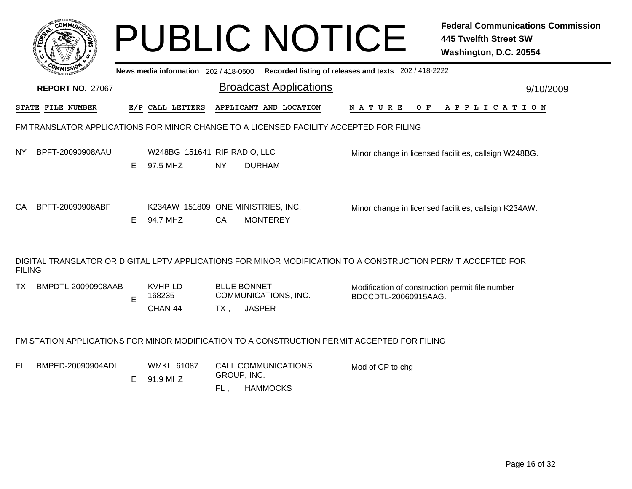|               |                                                                                                              |    |                                                |                           | <b>PUBLIC NOTICE</b>                                                                    |                                                                         | <b>Federal Communications Commission</b><br><b>445 Twelfth Street SW</b><br>Washington, D.C. 20554 |
|---------------|--------------------------------------------------------------------------------------------------------------|----|------------------------------------------------|---------------------------|-----------------------------------------------------------------------------------------|-------------------------------------------------------------------------|----------------------------------------------------------------------------------------------------|
|               |                                                                                                              |    |                                                |                           | News media information 202/418-0500 Recorded listing of releases and texts 202/418-2222 |                                                                         |                                                                                                    |
|               | <b>REPORT NO. 27067</b>                                                                                      |    |                                                |                           | <b>Broadcast Applications</b>                                                           |                                                                         | 9/10/2009                                                                                          |
|               | STATE FILE NUMBER                                                                                            |    | E/P CALL LETTERS                               |                           | APPLICANT AND LOCATION                                                                  | N A T U R E<br>O F                                                      | A P P L I C A T I O N                                                                              |
|               | FM TRANSLATOR APPLICATIONS FOR MINOR CHANGE TO A LICENSED FACILITY ACCEPTED FOR FILING                       |    |                                                |                           |                                                                                         |                                                                         |                                                                                                    |
| NY.           | BPFT-20090908AAU                                                                                             | E. | W248BG 151641 RIP RADIO, LLC<br>97.5 MHZ       | $NY$ ,                    | <b>DURHAM</b>                                                                           |                                                                         | Minor change in licensed facilities, callsign W248BG.                                              |
| CA            | BPFT-20090908ABF                                                                                             | E. | K234AW 151809 ONE MINISTRIES, INC.<br>94.7 MHZ | $CA$ ,                    | <b>MONTEREY</b>                                                                         |                                                                         | Minor change in licensed facilities, callsign K234AW.                                              |
| <b>FILING</b> | DIGITAL TRANSLATOR OR DIGITAL LPTV APPLICATIONS FOR MINOR MODIFICATION TO A CONSTRUCTION PERMIT ACCEPTED FOR |    |                                                |                           |                                                                                         |                                                                         |                                                                                                    |
| TX.           | BMPDTL-20090908AAB                                                                                           | E  | KVHP-LD<br>168235<br>CHAN-44                   | <b>BLUE BONNET</b><br>TX, | COMMUNICATIONS, INC.<br><b>JASPER</b>                                                   | Modification of construction permit file number<br>BDCCDTL-20060915AAG. |                                                                                                    |
|               | FM STATION APPLICATIONS FOR MINOR MODIFICATION TO A CONSTRUCTION PERMIT ACCEPTED FOR FILING                  |    |                                                |                           |                                                                                         |                                                                         |                                                                                                    |
| FL.           | BMPED-20090904ADL                                                                                            | E. | <b>WMKL 61087</b><br>91.9 MHZ                  | GROUP, INC.<br>FL,        | <b>CALL COMMUNICATIONS</b><br><b>HAMMOCKS</b>                                           | Mod of CP to chg                                                        |                                                                                                    |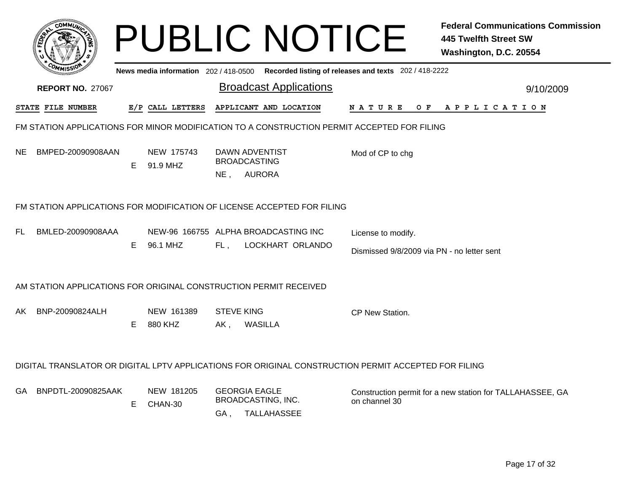|                                                                                                      |    |                        |                             | <b>PUBLIC NOTICE</b>                                      |                                                                                             | <b>Federal Communications Commission</b><br><b>445 Twelfth Street SW</b><br>Washington, D.C. 20554 |  |  |  |
|------------------------------------------------------------------------------------------------------|----|------------------------|-----------------------------|-----------------------------------------------------------|---------------------------------------------------------------------------------------------|----------------------------------------------------------------------------------------------------|--|--|--|
|                                                                                                      |    |                        |                             |                                                           | News media information 202 / 418-0500 Recorded listing of releases and texts 202 / 418-2222 |                                                                                                    |  |  |  |
| <b>REPORT NO. 27067</b>                                                                              |    |                        |                             | <b>Broadcast Applications</b>                             |                                                                                             | 9/10/2009                                                                                          |  |  |  |
| STATE FILE NUMBER                                                                                    |    | E/P CALL LETTERS       |                             | APPLICANT AND LOCATION                                    | N A T U R E                                                                                 | OF APPLICATION                                                                                     |  |  |  |
| FM STATION APPLICATIONS FOR MINOR MODIFICATION TO A CONSTRUCTION PERMIT ACCEPTED FOR FILING          |    |                        |                             |                                                           |                                                                                             |                                                                                                    |  |  |  |
| BMPED-20090908AAN<br>NE.                                                                             | E  | NEW 175743<br>91.9 MHZ | NE,                         | DAWN ADVENTIST<br><b>BROADCASTING</b><br><b>AURORA</b>    | Mod of CP to chg                                                                            |                                                                                                    |  |  |  |
| FM STATION APPLICATIONS FOR MODIFICATION OF LICENSE ACCEPTED FOR FILING                              |    |                        |                             |                                                           |                                                                                             |                                                                                                    |  |  |  |
| BMLED-20090908AAA<br>FL                                                                              | E. | 96.1 MHZ               | FL.                         | NEW-96 166755 ALPHA BROADCASTING INC<br>LOCKHART ORLANDO  | License to modify.<br>Dismissed 9/8/2009 via PN - no letter sent                            |                                                                                                    |  |  |  |
| AM STATION APPLICATIONS FOR ORIGINAL CONSTRUCTION PERMIT RECEIVED                                    |    |                        |                             |                                                           |                                                                                             |                                                                                                    |  |  |  |
| BNP-20090824ALH<br>AK.                                                                               | E. | NEW 161389<br>880 KHZ  | <b>STEVE KING</b><br>$AK$ , | <b>WASILLA</b>                                            | CP New Station.                                                                             |                                                                                                    |  |  |  |
| DIGITAL TRANSLATOR OR DIGITAL LPTV APPLICATIONS FOR ORIGINAL CONSTRUCTION PERMIT ACCEPTED FOR FILING |    |                        |                             |                                                           |                                                                                             |                                                                                                    |  |  |  |
| BNPDTL-20090825AAK<br>GA.                                                                            | Е  | NEW 181205<br>CHAN-30  | GA,                         | <b>GEORGIA EAGLE</b><br>BROADCASTING, INC.<br>TALLAHASSEE | on channel 30                                                                               | Construction permit for a new station for TALLAHASSEE, GA                                          |  |  |  |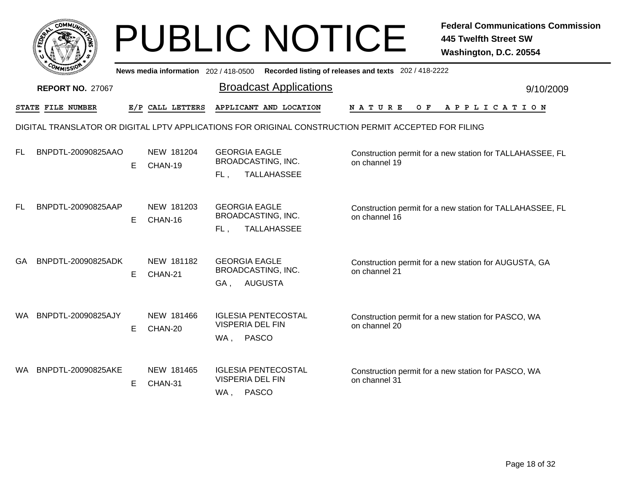|           |                          |    |                                     | <b>PUBLIC NOTICE</b>                                                                                 |                                                       | <b>Federal Communications Commission</b><br><b>445 Twelfth Street SW</b><br>Washington, D.C. 20554 |
|-----------|--------------------------|----|-------------------------------------|------------------------------------------------------------------------------------------------------|-------------------------------------------------------|----------------------------------------------------------------------------------------------------|
|           |                          |    | News media information 202/418-0500 |                                                                                                      | Recorded listing of releases and texts 202 / 418-2222 |                                                                                                    |
|           | <b>REPORT NO. 27067</b>  |    |                                     | <b>Broadcast Applications</b>                                                                        |                                                       | 9/10/2009                                                                                          |
|           | <b>STATE FILE NUMBER</b> |    | E/P CALL LETTERS                    | APPLICANT AND LOCATION                                                                               | <b>NATURE</b><br>O F                                  | APPLICATION                                                                                        |
|           |                          |    |                                     | DIGITAL TRANSLATOR OR DIGITAL LPTV APPLICATIONS FOR ORIGINAL CONSTRUCTION PERMIT ACCEPTED FOR FILING |                                                       |                                                                                                    |
| FL.       | BNPDTL-20090825AAO       | E. | NEW 181204<br>CHAN-19               | <b>GEORGIA EAGLE</b><br><b>BROADCASTING, INC.</b><br><b>TALLAHASSEE</b><br>FL,                       | on channel 19                                         | Construction permit for a new station for TALLAHASSEE, FL                                          |
| <b>FL</b> | BNPDTL-20090825AAP       | E. | NEW 181203<br>CHAN-16               | <b>GEORGIA EAGLE</b><br>BROADCASTING, INC.<br><b>TALLAHASSEE</b><br>FL.                              | on channel 16                                         | Construction permit for a new station for TALLAHASSEE, FL                                          |
| GA        | BNPDTL-20090825ADK       | E. | NEW 181182<br>CHAN-21               | <b>GEORGIA EAGLE</b><br>BROADCASTING, INC.<br><b>AUGUSTA</b><br>GA,                                  | on channel 21                                         | Construction permit for a new station for AUGUSTA, GA                                              |
| WA.       | BNPDTL-20090825AJY       | E  | NEW 181466<br>CHAN-20               | <b>IGLESIA PENTECOSTAL</b><br><b>VISPERIA DEL FIN</b><br><b>PASCO</b><br>WA,                         | on channel 20                                         | Construction permit for a new station for PASCO, WA                                                |
|           | WA BNPDTL-20090825AKE    | E. | NEW 181465<br>CHAN-31               | <b>IGLESIA PENTECOSTAL</b><br><b>VISPERIA DEL FIN</b><br><b>PASCO</b><br>WA,                         | on channel 31                                         | Construction permit for a new station for PASCO, WA                                                |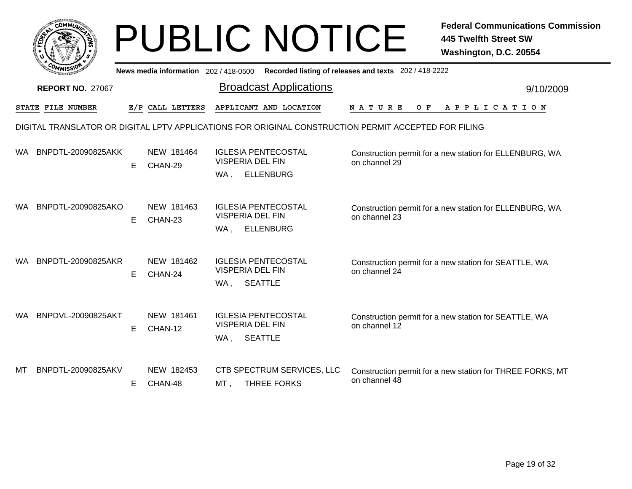|     | <b>COMMUL</b>           |    |                                       | <b>PUBLIC NOTICE</b>                                                             | <b>Federal Communications Commission</b><br><b>445 Twelfth Street SW</b><br>Washington, D.C. 20554   |
|-----|-------------------------|----|---------------------------------------|----------------------------------------------------------------------------------|------------------------------------------------------------------------------------------------------|
|     |                         |    | News media information 202 / 418-0500 |                                                                                  | Recorded listing of releases and texts 202 / 418-2222                                                |
|     | <b>REPORT NO. 27067</b> |    |                                       | <b>Broadcast Applications</b>                                                    | 9/10/2009                                                                                            |
|     | STATE FILE NUMBER       |    | E/P CALL LETTERS                      | APPLICANT AND LOCATION                                                           | N A T U R E<br>O F<br>A P P L I C A T I O N                                                          |
|     |                         |    |                                       |                                                                                  | DIGITAL TRANSLATOR OR DIGITAL LPTV APPLICATIONS FOR ORIGINAL CONSTRUCTION PERMIT ACCEPTED FOR FILING |
| WA. | BNPDTL-20090825AKK      | E  | NEW 181464<br>CHAN-29                 | <b>IGLESIA PENTECOSTAL</b><br><b>VISPERIA DEL FIN</b><br><b>ELLENBURG</b><br>WA, | Construction permit for a new station for ELLENBURG, WA<br>on channel 29                             |
| WA. | BNPDTL-20090825AKO      | E. | NEW 181463<br>CHAN-23                 | <b>IGLESIA PENTECOSTAL</b><br><b>VISPERIA DEL FIN</b><br><b>ELLENBURG</b><br>WA, | Construction permit for a new station for ELLENBURG, WA<br>on channel 23                             |
| WA. | BNPDTL-20090825AKR      | E. | NEW 181462<br>CHAN-24                 | <b>IGLESIA PENTECOSTAL</b><br><b>VISPERIA DEL FIN</b><br><b>SEATTLE</b><br>WA,   | Construction permit for a new station for SEATTLE, WA<br>on channel 24                               |
| WA. | BNPDVL-20090825AKT      | E. | NEW 181461<br>CHAN-12                 | <b>IGLESIA PENTECOSTAL</b><br><b>VISPERIA DEL FIN</b><br><b>SEATTLE</b><br>WA,   | Construction permit for a new station for SEATTLE, WA<br>on channel 12                               |
| МΤ  | BNPDTL-20090825AKV      | Е  | NEW 182453<br>CHAN-48                 | CTB SPECTRUM SERVICES, LLC<br><b>THREE FORKS</b><br>MT,                          | Construction permit for a new station for THREE FORKS, MT<br>on channel 48                           |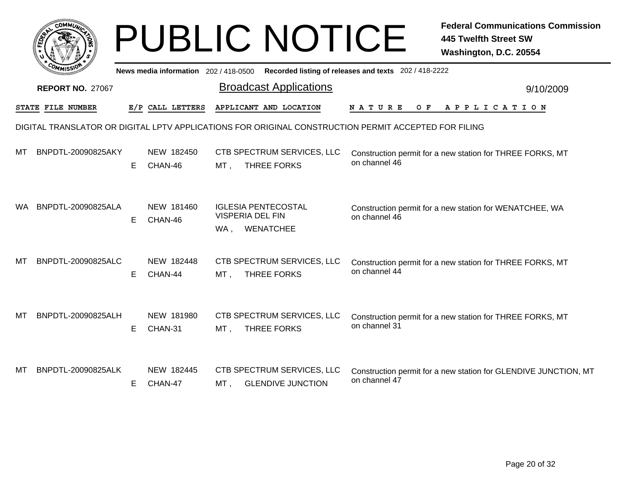|     | $c$ <sub>O</sub> MM $\vec{u}$ |    |                                       | <b>PUBLIC NOTICE</b>                                                      | <b>Federal Communications Commission</b><br><b>445 Twelfth Street SW</b><br>Washington, D.C. 20554   |
|-----|-------------------------------|----|---------------------------------------|---------------------------------------------------------------------------|------------------------------------------------------------------------------------------------------|
|     |                               |    | News media information 202 / 418-0500 |                                                                           | Recorded listing of releases and texts 202 / 418-2222                                                |
|     | <b>REPORT NO. 27067</b>       |    |                                       | <b>Broadcast Applications</b>                                             | 9/10/2009                                                                                            |
|     | STATE FILE NUMBER             |    | E/P CALL LETTERS                      | APPLICANT AND LOCATION                                                    | N A T U R E<br>O F<br>A P P L I C A T I O N                                                          |
|     |                               |    |                                       |                                                                           | DIGITAL TRANSLATOR OR DIGITAL LPTV APPLICATIONS FOR ORIGINAL CONSTRUCTION PERMIT ACCEPTED FOR FILING |
| MТ  | BNPDTL-20090825AKY            | E. | NEW 182450<br>CHAN-46                 | CTB SPECTRUM SERVICES, LLC<br><b>THREE FORKS</b><br>MT,                   | Construction permit for a new station for THREE FORKS, MT<br>on channel 46                           |
| WA. | BNPDTL-20090825ALA            | E  | NEW 181460<br>CHAN-46                 | <b>IGLESIA PENTECOSTAL</b><br><b>VISPERIA DEL FIN</b><br>WENATCHEE<br>WA, | Construction permit for a new station for WENATCHEE, WA<br>on channel 46                             |
| MТ  | BNPDTL-20090825ALC            | E. | NEW 182448<br>CHAN-44                 | CTB SPECTRUM SERVICES, LLC<br>THREE FORKS<br>MT,                          | Construction permit for a new station for THREE FORKS, MT<br>on channel 44                           |
| MТ  | BNPDTL-20090825ALH            | E. | NEW 181980<br>CHAN-31                 | CTB SPECTRUM SERVICES, LLC<br>MT,<br><b>THREE FORKS</b>                   | Construction permit for a new station for THREE FORKS, MT<br>on channel 31                           |
| МT  | BNPDTL-20090825ALK            | E. | NEW 182445<br>CHAN-47                 | CTB SPECTRUM SERVICES, LLC<br><b>GLENDIVE JUNCTION</b><br>MT,             | Construction permit for a new station for GLENDIVE JUNCTION, MT<br>on channel 47                     |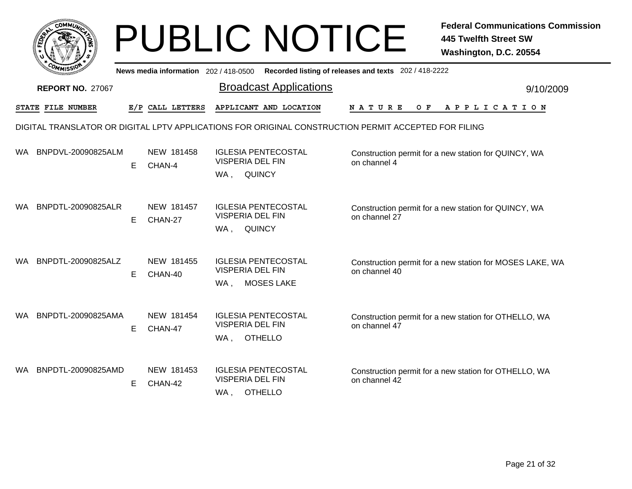|      |                                                                                                      |    |                                       | <b>PUBLIC NOTICE</b>                                                              |                                                       | <b>Federal Communications Commission</b><br><b>445 Twelfth Street SW</b><br>Washington, D.C. 20554 |  |  |  |  |
|------|------------------------------------------------------------------------------------------------------|----|---------------------------------------|-----------------------------------------------------------------------------------|-------------------------------------------------------|----------------------------------------------------------------------------------------------------|--|--|--|--|
|      |                                                                                                      |    | News media information 202 / 418-0500 |                                                                                   | Recorded listing of releases and texts 202 / 418-2222 |                                                                                                    |  |  |  |  |
|      | <b>REPORT NO. 27067</b>                                                                              |    |                                       | <b>Broadcast Applications</b>                                                     |                                                       | 9/10/2009                                                                                          |  |  |  |  |
|      | <b>STATE FILE NUMBER</b>                                                                             |    | E/P CALL LETTERS                      | APPLICANT AND LOCATION                                                            | <b>NATURE</b><br>O F                                  | A P P L I C A T I O N                                                                              |  |  |  |  |
|      | DIGITAL TRANSLATOR OR DIGITAL LPTV APPLICATIONS FOR ORIGINAL CONSTRUCTION PERMIT ACCEPTED FOR FILING |    |                                       |                                                                                   |                                                       |                                                                                                    |  |  |  |  |
| WA.  | BNPDVL-20090825ALM                                                                                   | E. | NEW 181458<br>CHAN-4                  | <b>IGLESIA PENTECOSTAL</b><br><b>VISPERIA DEL FIN</b>                             | on channel 4                                          | Construction permit for a new station for QUINCY, WA                                               |  |  |  |  |
|      |                                                                                                      |    |                                       | QUINCY<br>WA,                                                                     |                                                       |                                                                                                    |  |  |  |  |
| WA.  | BNPDTL-20090825ALR                                                                                   | E  | NEW 181457<br>CHAN-27                 | <b>IGLESIA PENTECOSTAL</b><br><b>VISPERIA DEL FIN</b><br><b>QUINCY</b><br>WA,     | on channel 27                                         | Construction permit for a new station for QUINCY, WA                                               |  |  |  |  |
| WA   | BNPDTL-20090825ALZ                                                                                   | E. | NEW 181455<br>CHAN-40                 | <b>IGLESIA PENTECOSTAL</b><br><b>VISPERIA DEL FIN</b><br><b>MOSES LAKE</b><br>WA, | on channel 40                                         | Construction permit for a new station for MOSES LAKE, WA                                           |  |  |  |  |
| WA.  | BNPDTL-20090825AMA                                                                                   | E. | NEW 181454<br>CHAN-47                 | <b>IGLESIA PENTECOSTAL</b><br><b>VISPERIA DEL FIN</b><br><b>OTHELLO</b><br>WA,    | on channel 47                                         | Construction permit for a new station for OTHELLO, WA                                              |  |  |  |  |
| WA . | BNPDTL-20090825AMD                                                                                   | E. | NEW 181453<br>CHAN-42                 | <b>IGLESIA PENTECOSTAL</b><br><b>VISPERIA DEL FIN</b><br><b>OTHELLO</b><br>WA,    | on channel 42                                         | Construction permit for a new station for OTHELLO, WA                                              |  |  |  |  |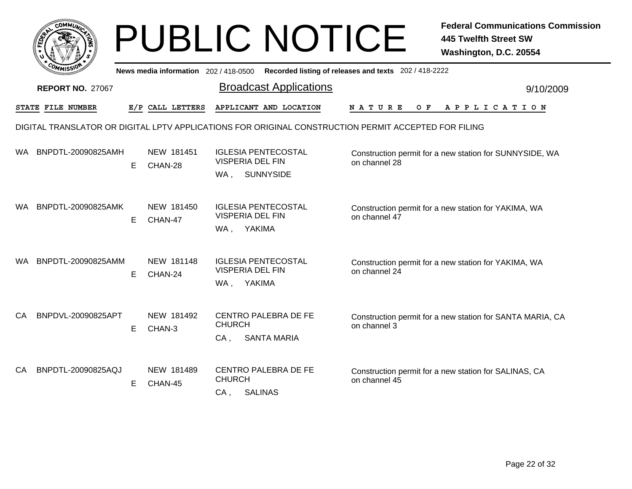|     | <b>COMMUN</b>           |    |                                     | <b>PUBLIC NOTICE</b>                                                                                 |                                                       | <b>Federal Communications Commission</b><br><b>445 Twelfth Street SW</b><br>Washington, D.C. 20554 |
|-----|-------------------------|----|-------------------------------------|------------------------------------------------------------------------------------------------------|-------------------------------------------------------|----------------------------------------------------------------------------------------------------|
|     |                         |    | News media information 202/418-0500 |                                                                                                      | Recorded listing of releases and texts 202 / 418-2222 |                                                                                                    |
|     | <b>REPORT NO. 27067</b> |    |                                     | <b>Broadcast Applications</b>                                                                        |                                                       | 9/10/2009                                                                                          |
|     | STATE FILE NUMBER       |    | E/P CALL LETTERS                    | APPLICANT AND LOCATION                                                                               | N A T U R E<br>O F                                    | A P P L I C A T I O N                                                                              |
|     |                         |    |                                     | DIGITAL TRANSLATOR OR DIGITAL LPTV APPLICATIONS FOR ORIGINAL CONSTRUCTION PERMIT ACCEPTED FOR FILING |                                                       |                                                                                                    |
| WA. | BNPDTL-20090825AMH      | Е  | NEW 181451<br>CHAN-28               | <b>IGLESIA PENTECOSTAL</b><br><b>VISPERIA DEL FIN</b><br><b>SUNNYSIDE</b><br>WA,                     | on channel 28                                         | Construction permit for a new station for SUNNYSIDE, WA                                            |
| WA. | BNPDTL-20090825AMK      | E. | NEW 181450<br>CHAN-47               | <b>IGLESIA PENTECOSTAL</b><br><b>VISPERIA DEL FIN</b><br>YAKIMA<br>WA,                               | on channel 47                                         | Construction permit for a new station for YAKIMA, WA                                               |
| WA. | BNPDTL-20090825AMM      | E. | NEW 181148<br>CHAN-24               | <b>IGLESIA PENTECOSTAL</b><br><b>VISPERIA DEL FIN</b><br>YAKIMA<br>WA ,                              | on channel 24                                         | Construction permit for a new station for YAKIMA, WA                                               |
| CA  | BNPDVL-20090825APT      | E. | NEW 181492<br>CHAN-3                | <b>CENTRO PALEBRA DE FE</b><br><b>CHURCH</b><br>CA,<br><b>SANTA MARIA</b>                            | on channel 3                                          | Construction permit for a new station for SANTA MARIA, CA                                          |
| CА  | BNPDTL-20090825AQJ      | Е  | NEW 181489<br>CHAN-45               | <b>CENTRO PALEBRA DE FE</b><br><b>CHURCH</b><br>CA,<br><b>SALINAS</b>                                | on channel 45                                         | Construction permit for a new station for SALINAS, CA                                              |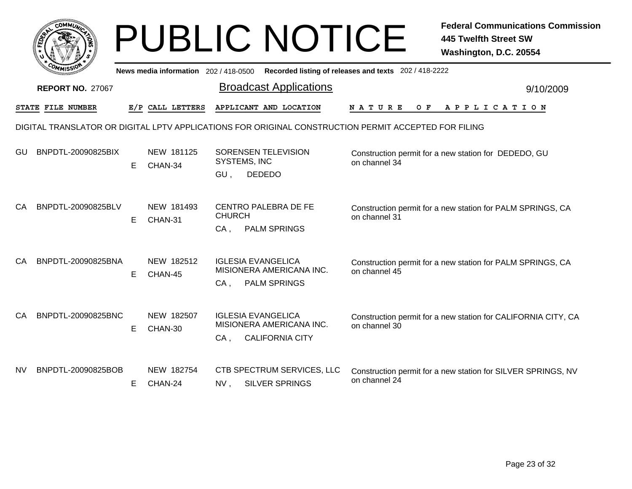|     | COMMUN                  |    |                                       | <b>PUBLIC NOTICE</b>                                                                      | <b>Federal Communications Commission</b><br><b>445 Twelfth Street SW</b><br>Washington, D.C. 20554   |
|-----|-------------------------|----|---------------------------------------|-------------------------------------------------------------------------------------------|------------------------------------------------------------------------------------------------------|
|     |                         |    | News media information 202 / 418-0500 |                                                                                           | Recorded listing of releases and texts 202 / 418-2222                                                |
|     | <b>REPORT NO. 27067</b> |    |                                       | <b>Broadcast Applications</b>                                                             | 9/10/2009                                                                                            |
|     | STATE FILE NUMBER       |    | E/P CALL LETTERS                      | APPLICANT AND LOCATION                                                                    | N A T U R E<br>O F<br>A P P L I C A T I O N                                                          |
|     |                         |    |                                       |                                                                                           | DIGITAL TRANSLATOR OR DIGITAL LPTV APPLICATIONS FOR ORIGINAL CONSTRUCTION PERMIT ACCEPTED FOR FILING |
| GU  | BNPDTL-20090825BIX      | E  | NEW 181125<br>CHAN-34                 | SORENSEN TELEVISION<br>SYSTEMS, INC<br>GU,<br><b>DEDEDO</b>                               | Construction permit for a new station for DEDEDO, GU<br>on channel 34                                |
| CA  | BNPDTL-20090825BLV      | E. | NEW 181493<br>CHAN-31                 | CENTRO PALEBRA DE FE<br><b>CHURCH</b><br>$CA$ .<br><b>PALM SPRINGS</b>                    | Construction permit for a new station for PALM SPRINGS, CA<br>on channel 31                          |
| CA  | BNPDTL-20090825BNA      | E  | NEW 182512<br>CHAN-45                 | <b>IGLESIA EVANGELICA</b><br>MISIONERA AMERICANA INC.<br>$CA$ ,<br><b>PALM SPRINGS</b>    | Construction permit for a new station for PALM SPRINGS, CA<br>on channel 45                          |
| CA  | BNPDTL-20090825BNC      | E  | NEW 182507<br>CHAN-30                 | <b>IGLESIA EVANGELICA</b><br>MISIONERA AMERICANA INC.<br>$CA$ .<br><b>CALIFORNIA CITY</b> | Construction permit for a new station for CALIFORNIA CITY, CA<br>on channel 30                       |
| NV. | BNPDTL-20090825BOB      | Е  | NEW 182754<br>CHAN-24                 | CTB SPECTRUM SERVICES, LLC<br><b>SILVER SPRINGS</b><br>NV,                                | Construction permit for a new station for SILVER SPRINGS, NV<br>on channel 24                        |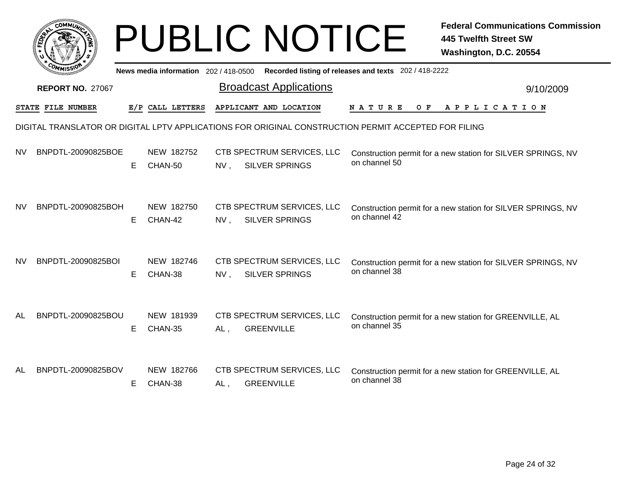|    | <b>COMMU</b>             |   |                                       |     | <b>PUBLIC NOTICE</b>                                                                                 |                                                       | <b>Federal Communications Commission</b><br><b>445 Twelfth Street SW</b><br>Washington, D.C. 20554 |
|----|--------------------------|---|---------------------------------------|-----|------------------------------------------------------------------------------------------------------|-------------------------------------------------------|----------------------------------------------------------------------------------------------------|
|    |                          |   | News media information 202 / 418-0500 |     |                                                                                                      | Recorded listing of releases and texts 202 / 418-2222 |                                                                                                    |
|    | <b>REPORT NO. 27067</b>  |   |                                       |     | <b>Broadcast Applications</b>                                                                        |                                                       | 9/10/2009                                                                                          |
|    | <b>STATE FILE NUMBER</b> |   | E/P CALL LETTERS                      |     | APPLICANT AND LOCATION                                                                               | N A T U R E<br>O F                                    | A P P L I C A T I O N                                                                              |
|    |                          |   |                                       |     | DIGITAL TRANSLATOR OR DIGITAL LPTV APPLICATIONS FOR ORIGINAL CONSTRUCTION PERMIT ACCEPTED FOR FILING |                                                       |                                                                                                    |
| NV | BNPDTL-20090825BOE       | E | NEW 182752<br>CHAN-50                 | NV, | CTB SPECTRUM SERVICES, LLC<br><b>SILVER SPRINGS</b>                                                  | on channel 50                                         | Construction permit for a new station for SILVER SPRINGS, NV                                       |
| NV | BNPDTL-20090825BOH       | Е | NEW 182750<br>CHAN-42                 | NV, | CTB SPECTRUM SERVICES, LLC<br><b>SILVER SPRINGS</b>                                                  | on channel 42                                         | Construction permit for a new station for SILVER SPRINGS, NV                                       |
| NV | BNPDTL-20090825BOI       | Е | NEW 182746<br>CHAN-38                 | NV, | CTB SPECTRUM SERVICES, LLC<br><b>SILVER SPRINGS</b>                                                  | on channel 38                                         | Construction permit for a new station for SILVER SPRINGS, NV                                       |
| AL | BNPDTL-20090825BOU       | Е | NEW 181939<br>CHAN-35                 | AL, | CTB SPECTRUM SERVICES, LLC<br><b>GREENVILLE</b>                                                      | on channel 35                                         | Construction permit for a new station for GREENVILLE, AL                                           |
| AL | BNPDTL-20090825BOV       | Е | NEW 182766<br>CHAN-38                 | AL, | CTB SPECTRUM SERVICES, LLC<br><b>GREENVILLE</b>                                                      | on channel 38                                         | Construction permit for a new station for GREENVILLE, AL                                           |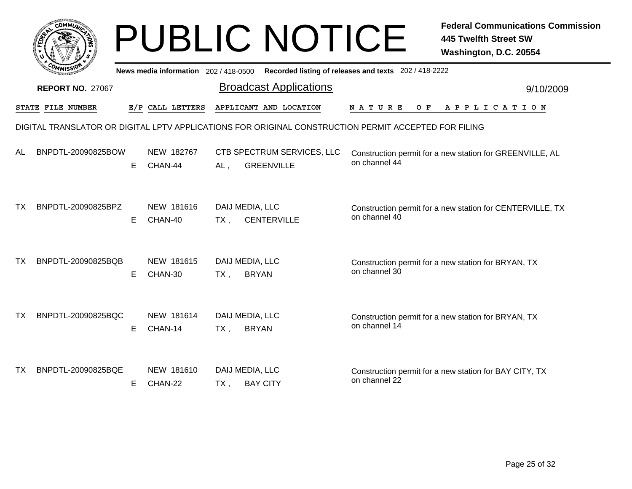|           |                         |    |                                     | <b>PUBLIC NOTICE</b>                                   | <b>Federal Communications Commission</b><br><b>445 Twelfth Street SW</b><br>Washington, D.C. 20554   |
|-----------|-------------------------|----|-------------------------------------|--------------------------------------------------------|------------------------------------------------------------------------------------------------------|
|           |                         |    | News media information 202/418-0500 |                                                        | Recorded listing of releases and texts 202 / 418-2222                                                |
|           | <b>REPORT NO. 27067</b> |    |                                     | <b>Broadcast Applications</b>                          | 9/10/2009                                                                                            |
|           | STATE FILE NUMBER       |    | E/P CALL LETTERS                    | APPLICANT AND LOCATION                                 | N A T U R E<br>O F<br>A P P L I C A T I O N                                                          |
|           |                         |    |                                     |                                                        | DIGITAL TRANSLATOR OR DIGITAL LPTV APPLICATIONS FOR ORIGINAL CONSTRUCTION PERMIT ACCEPTED FOR FILING |
| AL        | BNPDTL-20090825BOW      | E. | NEW 182767<br>CHAN-44               | CTB SPECTRUM SERVICES, LLC<br><b>GREENVILLE</b><br>AL, | Construction permit for a new station for GREENVILLE, AL<br>on channel 44                            |
| <b>TX</b> | BNPDTL-20090825BPZ      | E. | NEW 181616<br>CHAN-40               | DAIJ MEDIA, LLC<br><b>CENTERVILLE</b><br>$TX$ ,        | Construction permit for a new station for CENTERVILLE, TX<br>on channel 40                           |
| <b>TX</b> | BNPDTL-20090825BQB      | E  | NEW 181615<br>CHAN-30               | DAIJ MEDIA, LLC<br><b>BRYAN</b><br>$TX$ ,              | Construction permit for a new station for BRYAN, TX<br>on channel 30                                 |
| <b>TX</b> | BNPDTL-20090825BQC      | E. | NEW 181614<br>CHAN-14               | DAIJ MEDIA, LLC<br><b>BRYAN</b><br>$TX$ ,              | Construction permit for a new station for BRYAN, TX<br>on channel 14                                 |
| TX.       | BNPDTL-20090825BQE      | Е. | NEW 181610<br>CHAN-22               | DAIJ MEDIA, LLC<br><b>BAY CITY</b><br>TX,              | Construction permit for a new station for BAY CITY, TX<br>on channel 22                              |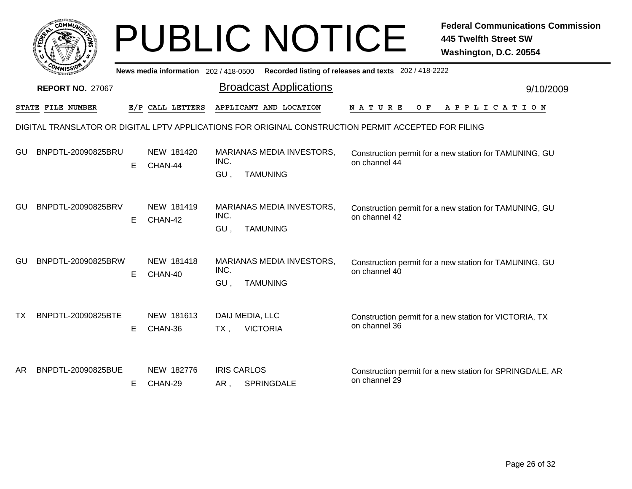|    | <b>COMMU</b>            |   |                                       | <b>PUBLIC NOTICE</b>                                               | <b>Federal Communications Commission</b><br><b>445 Twelfth Street SW</b><br>Washington, D.C. 20554   |
|----|-------------------------|---|---------------------------------------|--------------------------------------------------------------------|------------------------------------------------------------------------------------------------------|
|    |                         |   | News media information 202 / 418-0500 |                                                                    | Recorded listing of releases and texts 202 / 418-2222                                                |
|    | <b>REPORT NO. 27067</b> |   |                                       | <b>Broadcast Applications</b>                                      | 9/10/2009                                                                                            |
|    | STATE FILE NUMBER       |   | E/P CALL LETTERS                      | APPLICANT AND LOCATION                                             | N A T U R E<br>O F<br>A P P L I C A T I O N                                                          |
|    |                         |   |                                       |                                                                    | DIGITAL TRANSLATOR OR DIGITAL LPTV APPLICATIONS FOR ORIGINAL CONSTRUCTION PERMIT ACCEPTED FOR FILING |
| GU | BNPDTL-20090825BRU      | E | NEW 181420<br>CHAN-44                 | MARIANAS MEDIA INVESTORS,<br>INC.<br><b>TAMUNING</b><br>GU,        | Construction permit for a new station for TAMUNING, GU<br>on channel 44                              |
| GU | BNPDTL-20090825BRV      | E | NEW 181419<br>CHAN-42                 | <b>MARIANAS MEDIA INVESTORS,</b><br>INC.<br>GU,<br><b>TAMUNING</b> | Construction permit for a new station for TAMUNING, GU<br>on channel 42                              |
| GU | BNPDTL-20090825BRW      | E | NEW 181418<br>CHAN-40                 | <b>MARIANAS MEDIA INVESTORS,</b><br>INC.<br><b>TAMUNING</b><br>GU, | Construction permit for a new station for TAMUNING, GU<br>on channel 40                              |
| ТX | BNPDTL-20090825BTE      | E | NEW 181613<br>CHAN-36                 | DAIJ MEDIA, LLC<br><b>VICTORIA</b><br>TX.                          | Construction permit for a new station for VICTORIA, TX<br>on channel 36                              |
| AR | BNPDTL-20090825BUE      | Е | NEW 182776<br>CHAN-29                 | <b>IRIS CARLOS</b><br>SPRINGDALE<br>AR,                            | Construction permit for a new station for SPRINGDALE, AR<br>on channel 29                            |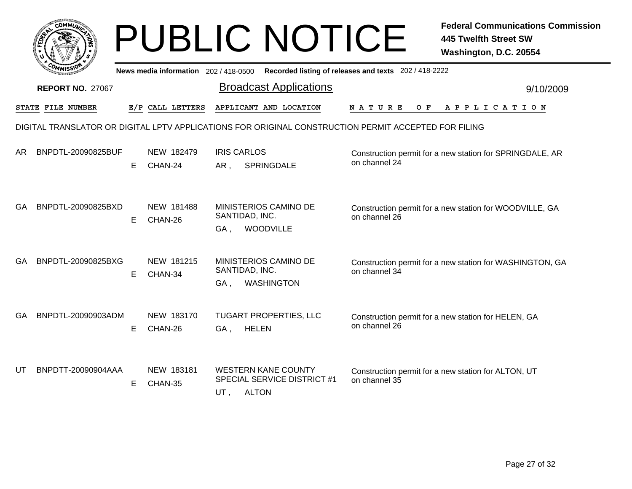|           |                          |    |                                       |                           | <b>PUBLIC NOTICE</b>                                                                                 |                                                       | <b>Federal Communications Commission</b><br><b>445 Twelfth Street SW</b><br>Washington, D.C. 20554 |
|-----------|--------------------------|----|---------------------------------------|---------------------------|------------------------------------------------------------------------------------------------------|-------------------------------------------------------|----------------------------------------------------------------------------------------------------|
|           |                          |    | News media information 202 / 418-0500 |                           |                                                                                                      | Recorded listing of releases and texts 202 / 418-2222 |                                                                                                    |
|           | <b>REPORT NO. 27067</b>  |    |                                       |                           | <b>Broadcast Applications</b>                                                                        |                                                       | 9/10/2009                                                                                          |
|           | <b>STATE FILE NUMBER</b> |    | E/P CALL LETTERS                      |                           | APPLICANT AND LOCATION                                                                               | N A T U R E<br>O F                                    | A P P L I C A T I O N                                                                              |
|           |                          |    |                                       |                           | DIGITAL TRANSLATOR OR DIGITAL LPTV APPLICATIONS FOR ORIGINAL CONSTRUCTION PERMIT ACCEPTED FOR FILING |                                                       |                                                                                                    |
| AR.       | BNPDTL-20090825BUF       | E. | NEW 182479<br>CHAN-24                 | <b>IRIS CARLOS</b><br>AR, | SPRINGDALE                                                                                           | on channel 24                                         | Construction permit for a new station for SPRINGDALE, AR                                           |
| GA.       | BNPDTL-20090825BXD       | E  | NEW 181488<br>CHAN-26                 | GA,                       | MINISTERIOS CAMINO DE<br>SANTIDAD, INC.<br>WOODVILLE                                                 | on channel 26                                         | Construction permit for a new station for WOODVILLE, GA                                            |
| <b>GA</b> | BNPDTL-20090825BXG       | E. | NEW 181215<br>CHAN-34                 | GA,                       | MINISTERIOS CAMINO DE<br>SANTIDAD, INC.<br><b>WASHINGTON</b>                                         | on channel 34                                         | Construction permit for a new station for WASHINGTON, GA                                           |
| GA        | BNPDTL-20090903ADM       | E  | NEW 183170<br>CHAN-26                 | GA.                       | <b>TUGART PROPERTIES, LLC</b><br><b>HELEN</b>                                                        | on channel 26                                         | Construction permit for a new station for HELEN, GA                                                |
| UT        | BNPDTT-20090904AAA       | Е  | NEW 183181<br>CHAN-35                 | UT,                       | <b>WESTERN KANE COUNTY</b><br>SPECIAL SERVICE DISTRICT #1<br><b>ALTON</b>                            | on channel 35                                         | Construction permit for a new station for ALTON, UT                                                |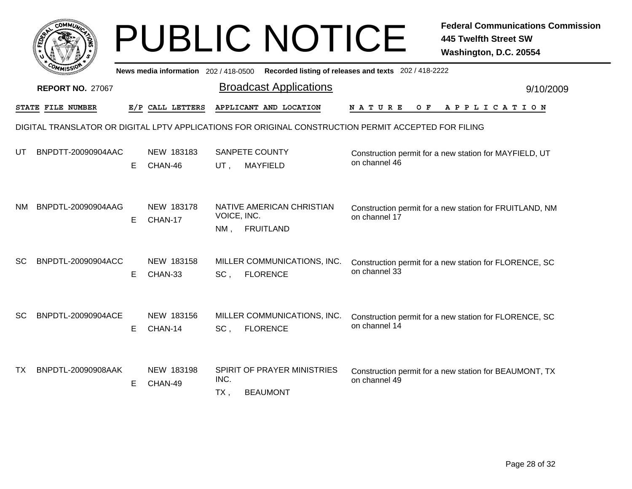|           |                          |    |                                       |                       | <b>PUBLIC NOTICE</b>                                                                                 |                                                       | <b>Federal Communications Commission</b><br><b>445 Twelfth Street SW</b><br>Washington, D.C. 20554 |
|-----------|--------------------------|----|---------------------------------------|-----------------------|------------------------------------------------------------------------------------------------------|-------------------------------------------------------|----------------------------------------------------------------------------------------------------|
|           |                          |    | News media information 202 / 418-0500 |                       |                                                                                                      | Recorded listing of releases and texts 202 / 418-2222 |                                                                                                    |
|           | <b>REPORT NO. 27067</b>  |    |                                       |                       | <b>Broadcast Applications</b>                                                                        |                                                       | 9/10/2009                                                                                          |
|           | <b>STATE FILE NUMBER</b> |    | E/P CALL LETTERS                      |                       | APPLICANT AND LOCATION                                                                               | N A T U R E<br>O F                                    | A P P L I C A T I O N                                                                              |
|           |                          |    |                                       |                       | DIGITAL TRANSLATOR OR DIGITAL LPTV APPLICATIONS FOR ORIGINAL CONSTRUCTION PERMIT ACCEPTED FOR FILING |                                                       |                                                                                                    |
| UT        | BNPDTT-20090904AAC       | E. | NEW 183183<br>CHAN-46                 | UT.                   | SANPETE COUNTY<br><b>MAYFIELD</b>                                                                    | on channel 46                                         | Construction permit for a new station for MAYFIELD, UT                                             |
| NM        | BNPDTL-20090904AAG       | E. | NEW 183178<br>CHAN-17                 | VOICE, INC.<br>$NM$ . | NATIVE AMERICAN CHRISTIAN<br><b>FRUITLAND</b>                                                        | on channel 17                                         | Construction permit for a new station for FRUITLAND, NM                                            |
| <b>SC</b> | BNPDTL-20090904ACC       | E. | NEW 183158<br>CHAN-33                 | SC,                   | MILLER COMMUNICATIONS, INC.<br><b>FLORENCE</b>                                                       | on channel 33                                         | Construction permit for a new station for FLORENCE, SC                                             |
| <b>SC</b> | BNPDTL-20090904ACE       | E. | NEW 183156<br>CHAN-14                 | SC,                   | MILLER COMMUNICATIONS, INC.<br><b>FLORENCE</b>                                                       | on channel 14                                         | Construction permit for a new station for FLORENCE, SC                                             |
| ТX        | BNPDTL-20090908AAK       | E. | NEW 183198<br>CHAN-49                 | INC.<br>$TX$ ,        | SPIRIT OF PRAYER MINISTRIES<br><b>BEAUMONT</b>                                                       | on channel 49                                         | Construction permit for a new station for BEAUMONT, TX                                             |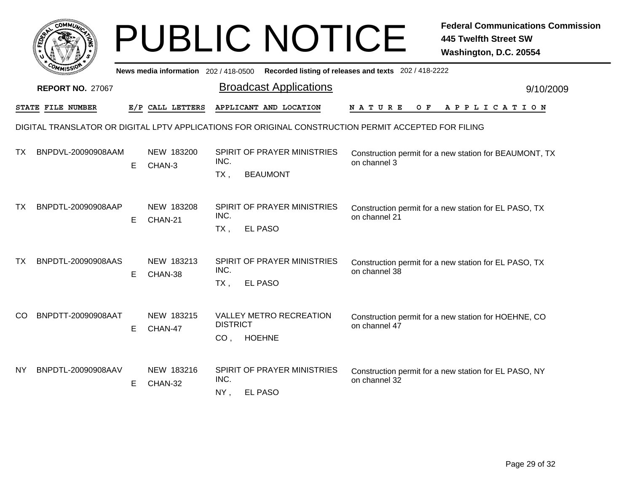|     | <b>COMMU</b>            |    |                                       |                 | <b>PUBLIC NOTICE</b>                                                                                 |                                                       | <b>Federal Communications Commission</b><br><b>445 Twelfth Street SW</b><br>Washington, D.C. 20554 |
|-----|-------------------------|----|---------------------------------------|-----------------|------------------------------------------------------------------------------------------------------|-------------------------------------------------------|----------------------------------------------------------------------------------------------------|
|     |                         |    | News media information 202 / 418-0500 |                 |                                                                                                      | Recorded listing of releases and texts 202 / 418-2222 |                                                                                                    |
|     | <b>REPORT NO. 27067</b> |    |                                       |                 | <b>Broadcast Applications</b>                                                                        |                                                       | 9/10/2009                                                                                          |
|     | STATE FILE NUMBER       |    | E/P CALL LETTERS                      |                 | APPLICANT AND LOCATION                                                                               | N A T U R E<br>O F                                    | A P P L I C A T I O N                                                                              |
|     |                         |    |                                       |                 | DIGITAL TRANSLATOR OR DIGITAL LPTV APPLICATIONS FOR ORIGINAL CONSTRUCTION PERMIT ACCEPTED FOR FILING |                                                       |                                                                                                    |
| ТX  | BNPDVL-20090908AAM      | E. | NEW 183200<br>CHAN-3                  | INC.<br>$TX$ ,  | SPIRIT OF PRAYER MINISTRIES<br><b>BEAUMONT</b>                                                       | on channel 3                                          | Construction permit for a new station for BEAUMONT, TX                                             |
| ТX  | BNPDTL-20090908AAP      | E  | NEW 183208<br>CHAN-21                 | INC.<br>$TX$ ,  | <b>SPIRIT OF PRAYER MINISTRIES</b><br>EL PASO                                                        | on channel 21                                         | Construction permit for a new station for EL PASO, TX                                              |
| ТX  | BNPDTL-20090908AAS      | E. | NEW 183213<br>CHAN-38                 | INC.<br>$TX$ ,  | SPIRIT OF PRAYER MINISTRIES<br>EL PASO                                                               | on channel 38                                         | Construction permit for a new station for EL PASO, TX                                              |
| CO. | BNPDTT-20090908AAT      | E  | NEW 183215<br>CHAN-47                 | <b>DISTRICT</b> | <b>VALLEY METRO RECREATION</b><br>CO, HOEHNE                                                         | on channel 47                                         | Construction permit for a new station for HOEHNE, CO                                               |
| NY. | BNPDTL-20090908AAV      | E. | NEW 183216<br>CHAN-32                 | INC.<br>NY,     | SPIRIT OF PRAYER MINISTRIES<br>EL PASO                                                               | on channel 32                                         | Construction permit for a new station for EL PASO, NY                                              |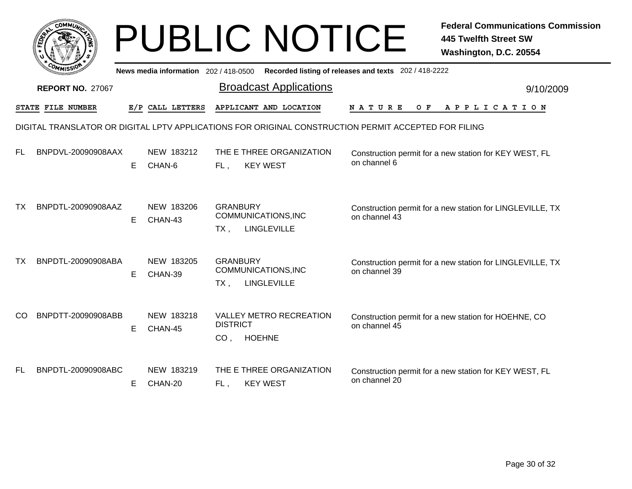|           | <b>COMMUN</b>           |    |                                     | <b>PUBLIC NOTICE</b>                                                                  | <b>Federal Communications Commission</b><br><b>445 Twelfth Street SW</b><br>Washington, D.C. 20554   |  |
|-----------|-------------------------|----|-------------------------------------|---------------------------------------------------------------------------------------|------------------------------------------------------------------------------------------------------|--|
|           |                         |    | News media information 202/418-0500 |                                                                                       | Recorded listing of releases and texts 202 / 418-2222                                                |  |
|           | <b>REPORT NO. 27067</b> |    |                                     | <b>Broadcast Applications</b>                                                         | 9/10/2009                                                                                            |  |
|           | STATE FILE NUMBER       |    | E/P CALL LETTERS                    | APPLICANT AND LOCATION                                                                | N A T U R E<br>O F<br>A P P L I C A T I O N                                                          |  |
|           |                         |    |                                     |                                                                                       | DIGITAL TRANSLATOR OR DIGITAL LPTV APPLICATIONS FOR ORIGINAL CONSTRUCTION PERMIT ACCEPTED FOR FILING |  |
| FL.       | BNPDVL-20090908AAX      | E. | NEW 183212<br>CHAN-6                | THE E THREE ORGANIZATION<br><b>KEY WEST</b><br>FL,                                    | Construction permit for a new station for KEY WEST, FL<br>on channel 6                               |  |
| ТX        | BNPDTL-20090908AAZ      | E. | NEW 183206<br>CHAN-43               | <b>GRANBURY</b><br>COMMUNICATIONS, INC<br><b>LINGLEVILLE</b><br>$TX$ ,                | Construction permit for a new station for LINGLEVILLE, TX<br>on channel 43                           |  |
| <b>TX</b> | BNPDTL-20090908ABA      | E. | NEW 183205<br>CHAN-39               | <b>GRANBURY</b><br>COMMUNICATIONS, INC<br>LINGLEVILLE<br>$TX$ ,                       | Construction permit for a new station for LINGLEVILLE, TX<br>on channel 39                           |  |
| <b>CO</b> | BNPDTT-20090908ABB      | E. | NEW 183218<br>CHAN-45               | <b>VALLEY METRO RECREATION</b><br><b>DISTRICT</b><br><b>HOEHNE</b><br>CO <sub>1</sub> | Construction permit for a new station for HOEHNE, CO<br>on channel 45                                |  |
| FL.       | BNPDTL-20090908ABC      | Е  | NEW 183219<br>CHAN-20               | THE E THREE ORGANIZATION<br><b>KEY WEST</b><br>FL.                                    | Construction permit for a new station for KEY WEST, FL<br>on channel 20                              |  |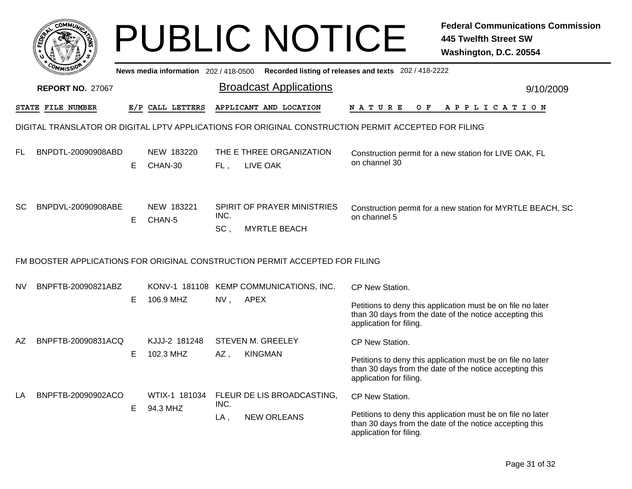| COMMUN                    |   |                                     |                | <b>PUBLIC NOTICE</b>                                                                                 |                                                       | <b>Federal Communications Commission</b><br><b>445 Twelfth Street SW</b><br>Washington, D.C. 20554                     |
|---------------------------|---|-------------------------------------|----------------|------------------------------------------------------------------------------------------------------|-------------------------------------------------------|------------------------------------------------------------------------------------------------------------------------|
|                           |   | News media information 202/418-0500 |                |                                                                                                      | Recorded listing of releases and texts 202 / 418-2222 |                                                                                                                        |
| <b>REPORT NO. 27067</b>   |   |                                     |                | <b>Broadcast Applications</b>                                                                        |                                                       | 9/10/2009                                                                                                              |
| STATE FILE NUMBER         |   | E/P CALL LETTERS                    |                | APPLICANT AND LOCATION                                                                               | <b>NATURE</b><br>O F                                  | A P P L I C A T I O N                                                                                                  |
|                           |   |                                     |                | DIGITAL TRANSLATOR OR DIGITAL LPTV APPLICATIONS FOR ORIGINAL CONSTRUCTION PERMIT ACCEPTED FOR FILING |                                                       |                                                                                                                        |
| FL<br>BNPDTL-20090908ABD  | Е | NEW 183220<br>CHAN-30               | FL,            | THE E THREE ORGANIZATION<br>LIVE OAK                                                                 | on channel 30                                         | Construction permit for a new station for LIVE OAK, FL                                                                 |
| SC<br>BNPDVL-20090908ABE  | E | NEW 183221<br>CHAN-5                | INC.<br>SC,    | SPIRIT OF PRAYER MINISTRIES<br><b>MYRTLE BEACH</b>                                                   | on channel 5                                          | Construction permit for a new station for MYRTLE BEACH, SC                                                             |
|                           |   |                                     |                | FM BOOSTER APPLICATIONS FOR ORIGINAL CONSTRUCTION PERMIT ACCEPTED FOR FILING                         |                                                       |                                                                                                                        |
| BNPFTB-20090821ABZ<br>NV. | Е | 106.9 MHZ                           | NV,            | KONV-1 181108 KEMP COMMUNICATIONS, INC.<br><b>APEX</b>                                               | CP New Station.<br>application for filing.            | Petitions to deny this application must be on file no later<br>than 30 days from the date of the notice accepting this |
| AΖ<br>BNPFTB-20090831ACQ  | Е | KJJJ-2 181248<br>102.3 MHZ          | AZ,            | <b>STEVEN M. GREELEY</b><br><b>KINGMAN</b>                                                           | CP New Station.<br>application for filing.            | Petitions to deny this application must be on file no later<br>than 30 days from the date of the notice accepting this |
| BNPFTB-20090902ACO<br>LA  | Е | WTIX-1 181034<br>94.3 MHZ           | INC.<br>$LA$ , | FLEUR DE LIS BROADCASTING,<br><b>NEW ORLEANS</b>                                                     | CP New Station.<br>application for filing.            | Petitions to deny this application must be on file no later<br>than 30 days from the date of the notice accepting this |